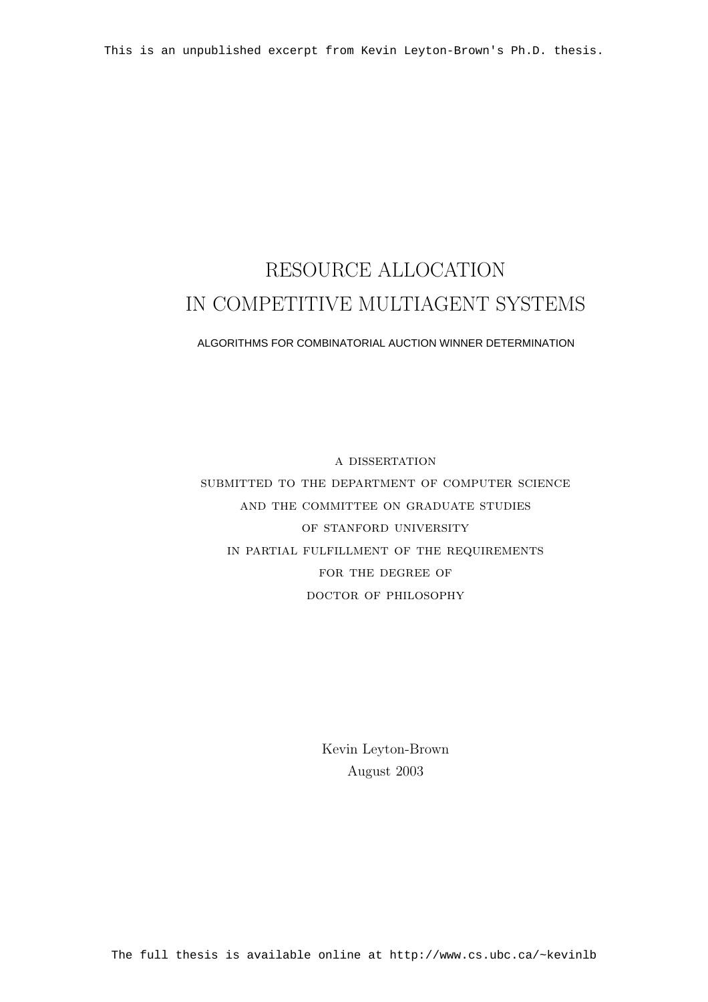### RESOURCE ALLOCATION IN COMPETITIVE MULTIAGENT SYSTEMS

#### ALGORITHMS FOR COMBINATORIAL AUCTION WINNER DETERMINATION

a dissertation submitted to the department of computer science and the committee on graduate studies OF STANFORD UNIVERSITY in partial fulfillment of the requirements FOR THE DEGREE OF doctor of philosophy

> Kevin Leyton-Brown August 2003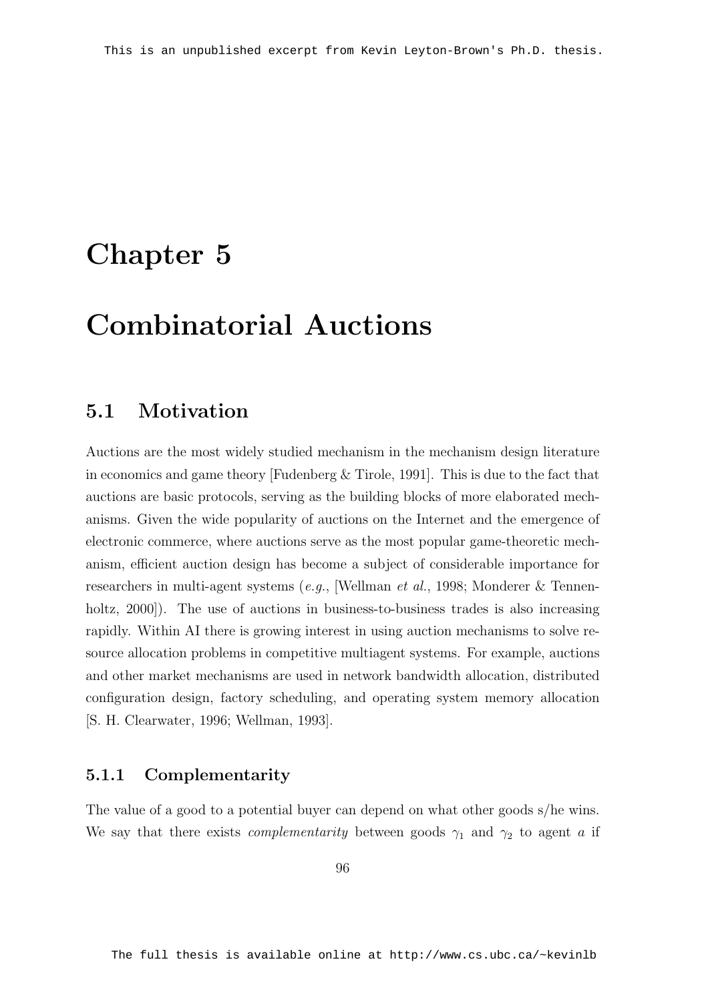### Chapter 5

## Combinatorial Auctions

#### 5.1 Motivation

Auctions are the most widely studied mechanism in the mechanism design literature in economics and game theory [Fudenberg & Tirole, 1991]. This is due to the fact that auctions are basic protocols, serving as the building blocks of more elaborated mechanisms. Given the wide popularity of auctions on the Internet and the emergence of electronic commerce, where auctions serve as the most popular game-theoretic mechanism, efficient auction design has become a subject of considerable importance for researchers in multi-agent systems (e.g., [Wellman et al., 1998; Monderer & Tennenholtz, 2000]). The use of auctions in business-to-business trades is also increasing rapidly. Within AI there is growing interest in using auction mechanisms to solve resource allocation problems in competitive multiagent systems. For example, auctions and other market mechanisms are used in network bandwidth allocation, distributed configuration design, factory scheduling, and operating system memory allocation [S. H. Clearwater, 1996; Wellman, 1993].

#### 5.1.1 Complementarity

The value of a good to a potential buyer can depend on what other goods s/he wins. We say that there exists *complementarity* between goods  $\gamma_1$  and  $\gamma_2$  to agent a if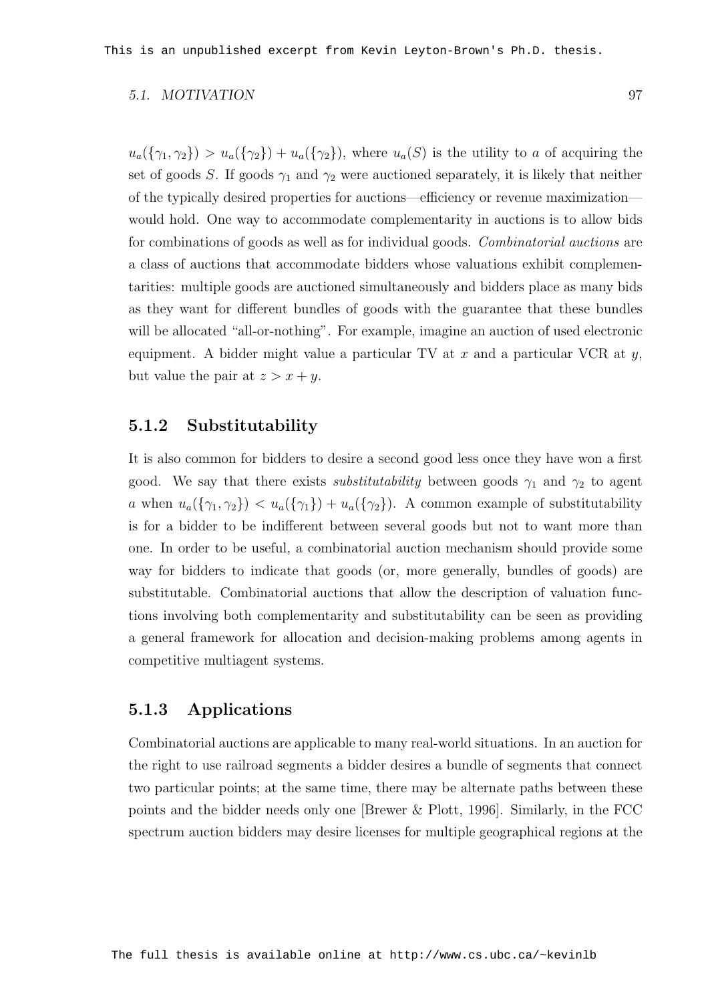#### 5.1. MOTIVATION 97

 $u_a({\{\gamma_1,\gamma_2\}}) > u_a({\{\gamma_2\}}) + u_a({\{\gamma_2\}})$ , where  $u_a(S)$  is the utility to a of acquiring the set of goods S. If goods  $\gamma_1$  and  $\gamma_2$  were auctioned separately, it is likely that neither of the typically desired properties for auctions—efficiency or revenue maximization would hold. One way to accommodate complementarity in auctions is to allow bids for combinations of goods as well as for individual goods. Combinatorial auctions are a class of auctions that accommodate bidders whose valuations exhibit complementarities: multiple goods are auctioned simultaneously and bidders place as many bids as they want for different bundles of goods with the guarantee that these bundles will be allocated "all-or-nothing". For example, imagine an auction of used electronic equipment. A bidder might value a particular TV at x and a particular VCR at  $y$ , but value the pair at  $z > x + y$ .

#### 5.1.2 Substitutability

It is also common for bidders to desire a second good less once they have won a first good. We say that there exists *substitutability* between goods  $\gamma_1$  and  $\gamma_2$  to agent a when  $u_a({\gamma_1},{\gamma_2}) < u_a({\gamma_1}) + u_a({\gamma_2})$ . A common example of substitutability is for a bidder to be indifferent between several goods but not to want more than one. In order to be useful, a combinatorial auction mechanism should provide some way for bidders to indicate that goods (or, more generally, bundles of goods) are substitutable. Combinatorial auctions that allow the description of valuation functions involving both complementarity and substitutability can be seen as providing a general framework for allocation and decision-making problems among agents in competitive multiagent systems.

#### 5.1.3 Applications

Combinatorial auctions are applicable to many real-world situations. In an auction for the right to use railroad segments a bidder desires a bundle of segments that connect two particular points; at the same time, there may be alternate paths between these points and the bidder needs only one [Brewer & Plott, 1996]. Similarly, in the FCC spectrum auction bidders may desire licenses for multiple geographical regions at the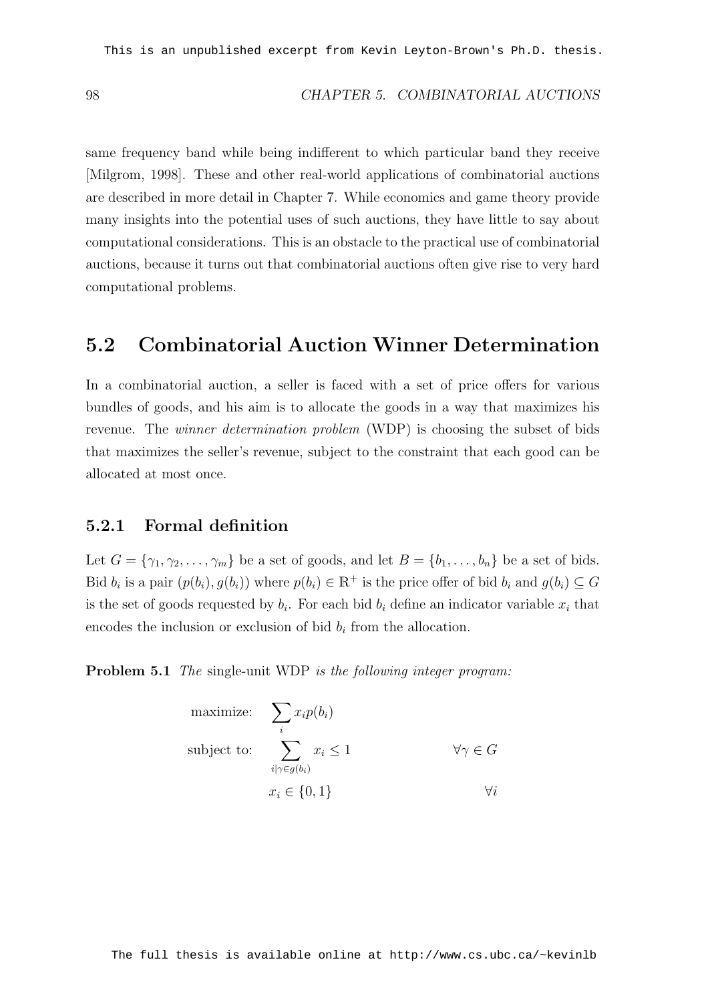same frequency band while being indifferent to which particular band they receive [Milgrom, 1998]. These and other real-world applications of combinatorial auctions are described in more detail in Chapter 7. While economics and game theory provide many insights into the potential uses of such auctions, they have little to say about computational considerations. This is an obstacle to the practical use of combinatorial auctions, because it turns out that combinatorial auctions often give rise to very hard computational problems.

#### 5.2 Combinatorial Auction Winner Determination

In a combinatorial auction, a seller is faced with a set of price offers for various bundles of goods, and his aim is to allocate the goods in a way that maximizes his revenue. The *winner determination problem* (WDP) is choosing the subset of bids that maximizes the seller's revenue, subject to the constraint that each good can be allocated at most once.

#### 5.2.1 Formal definition

Let  $G = {\gamma_1, \gamma_2, \ldots, \gamma_m}$  be a set of goods, and let  $B = {b_1, \ldots, b_n}$  be a set of bids. Bid  $b_i$  is a pair  $(p(b_i), g(b_i))$  where  $p(b_i) \in \mathbb{R}^+$  is the price offer of bid  $b_i$  and  $g(b_i) \subseteq G$ is the set of goods requested by  $b_i$ . For each bid  $b_i$  define an indicator variable  $x_i$  that encodes the inclusion or exclusion of bid  $b_i$  from the allocation.

Problem 5.1 The single-unit WDP is the following integer program:

maximize: 
$$
\sum_{i} x_i p(b_i)
$$
  
subject to: 
$$
\sum_{i \mid \gamma \in g(b_i)} x_i \le 1 \qquad \forall \gamma \in G
$$

$$
x_i \in \{0, 1\} \qquad \forall i
$$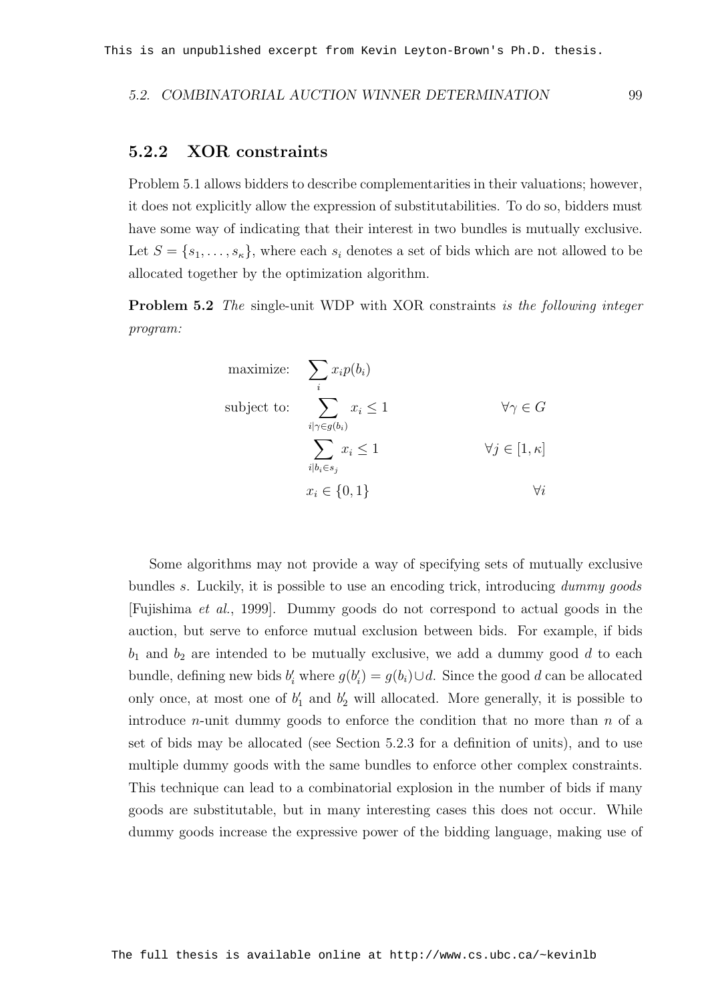#### 5.2. COMBINATORIAL AUCTION WINNER DETERMINATION 99

#### 5.2.2 XOR constraints

Problem 5.1 allows bidders to describe complementarities in their valuations; however, it does not explicitly allow the expression of substitutabilities. To do so, bidders must have some way of indicating that their interest in two bundles is mutually exclusive. Let  $S = \{s_1, \ldots, s_{\kappa}\}\,$ , where each  $s_i$  denotes a set of bids which are not allowed to be allocated together by the optimization algorithm.

Problem 5.2 The single-unit WDP with XOR constraints is the following integer program:

maximize: 
$$
\sum_{i} x_i p(b_i)
$$
  
\nsubject to: 
$$
\sum_{i|\gamma \in g(b_i)} x_i \le 1 \qquad \forall \gamma \in G
$$
  
\n
$$
\sum_{i|b_i \in s_j} x_i \le 1 \qquad \forall j \in [1, \kappa]
$$
  
\n
$$
x_i \in \{0, 1\} \qquad \forall i
$$

Some algorithms may not provide a way of specifying sets of mutually exclusive bundles s. Luckily, it is possible to use an encoding trick, introducing dummy goods [Fujishima et al., 1999]. Dummy goods do not correspond to actual goods in the auction, but serve to enforce mutual exclusion between bids. For example, if bids  $b_1$  and  $b_2$  are intended to be mutually exclusive, we add a dummy good d to each bundle, defining new bids  $b_i'$  where  $g(b_i') = g(b_i) \cup d$ . Since the good d can be allocated only once, at most one of  $b'_1$  and  $b'_2$  will allocated. More generally, it is possible to introduce *n*-unit dummy goods to enforce the condition that no more than  $n$  of a set of bids may be allocated (see Section 5.2.3 for a definition of units), and to use multiple dummy goods with the same bundles to enforce other complex constraints. This technique can lead to a combinatorial explosion in the number of bids if many goods are substitutable, but in many interesting cases this does not occur. While dummy goods increase the expressive power of the bidding language, making use of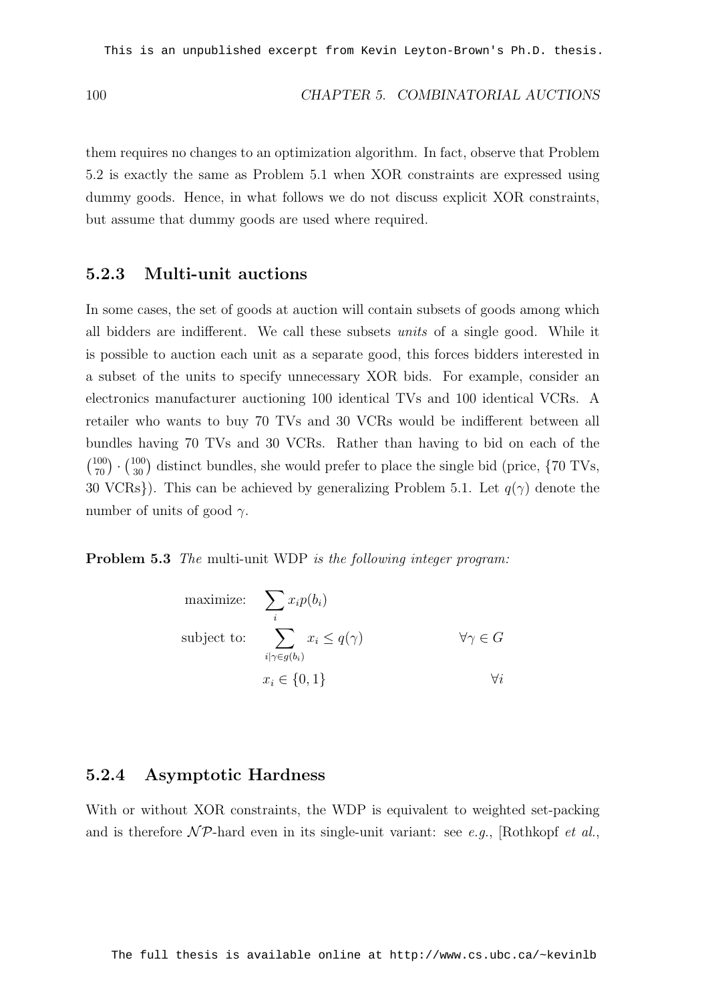#### 100 CHAPTER 5. COMBINATORIAL AUCTIONS

them requires no changes to an optimization algorithm. In fact, observe that Problem 5.2 is exactly the same as Problem 5.1 when XOR constraints are expressed using dummy goods. Hence, in what follows we do not discuss explicit XOR constraints, but assume that dummy goods are used where required.

#### 5.2.3 Multi-unit auctions

In some cases, the set of goods at auction will contain subsets of goods among which all bidders are indifferent. We call these subsets units of a single good. While it is possible to auction each unit as a separate good, this forces bidders interested in a subset of the units to specify unnecessary XOR bids. For example, consider an electronics manufacturer auctioning 100 identical TVs and 100 identical VCRs. A retailer who wants to buy 70 TVs and 30 VCRs would be indifferent between all bundles having 70 TVs and 30 VCRs. Rather than having to bid on each of the  $\begin{pmatrix} 100 \\ 70 \end{pmatrix}$ .  $\binom{100}{30}$  distinct bundles, she would prefer to place the single bid (price,  $\{70 \text{ TVs},$ 30 VCRs}). This can be achieved by generalizing Problem 5.1. Let  $q(\gamma)$  denote the number of units of good  $\gamma$ .

Problem 5.3 The multi-unit WDP is the following integer program:

maximize: 
$$
\sum_{i} x_i p(b_i)
$$
  
\nsubject to: 
$$
\sum_{i|\gamma \in g(b_i)} x_i \le q(\gamma) \qquad \forall \gamma \in G
$$
  
\n
$$
x_i \in \{0, 1\} \qquad \forall i
$$

#### 5.2.4 Asymptotic Hardness

With or without XOR constraints, the WDP is equivalent to weighted set-packing and is therefore  $\mathcal{NP}$ -hard even in its single-unit variant: see e.g., [Rothkopf et al.,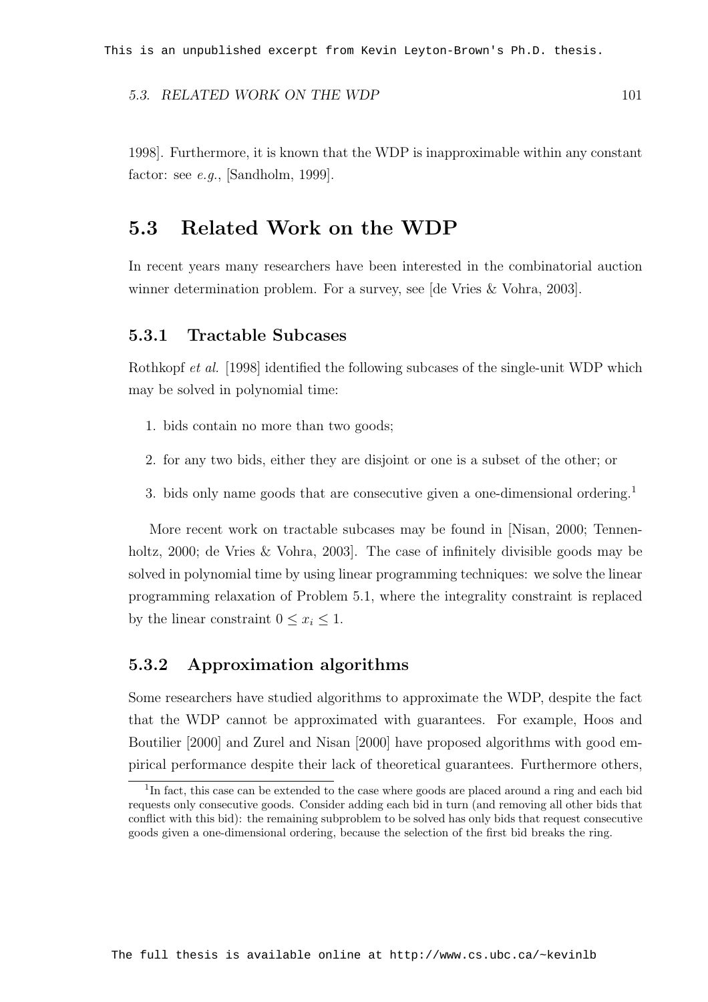#### 5.3. RELATED WORK ON THE WDP 101

1998]. Furthermore, it is known that the WDP is inapproximable within any constant factor: see  $e.g.,$  [Sandholm, 1999].

#### 5.3 Related Work on the WDP

In recent years many researchers have been interested in the combinatorial auction winner determination problem. For a survey, see [de Vries & Vohra, 2003].

#### 5.3.1 Tractable Subcases

Rothkopf et al. [1998] identified the following subcases of the single-unit WDP which may be solved in polynomial time:

- 1. bids contain no more than two goods;
- 2. for any two bids, either they are disjoint or one is a subset of the other; or
- 3. bids only name goods that are consecutive given a one-dimensional ordering.<sup>1</sup>

More recent work on tractable subcases may be found in [Nisan, 2000; Tennenholtz, 2000; de Vries & Vohra, 2003. The case of infinitely divisible goods may be solved in polynomial time by using linear programming techniques: we solve the linear programming relaxation of Problem 5.1, where the integrality constraint is replaced by the linear constraint  $0 \leq x_i \leq 1$ .

#### 5.3.2 Approximation algorithms

Some researchers have studied algorithms to approximate the WDP, despite the fact that the WDP cannot be approximated with guarantees. For example, Hoos and Boutilier [2000] and Zurel and Nisan [2000] have proposed algorithms with good empirical performance despite their lack of theoretical guarantees. Furthermore others,

<sup>&</sup>lt;sup>1</sup>In fact, this case can be extended to the case where goods are placed around a ring and each bid requests only consecutive goods. Consider adding each bid in turn (and removing all other bids that conflict with this bid): the remaining subproblem to be solved has only bids that request consecutive goods given a one-dimensional ordering, because the selection of the first bid breaks the ring.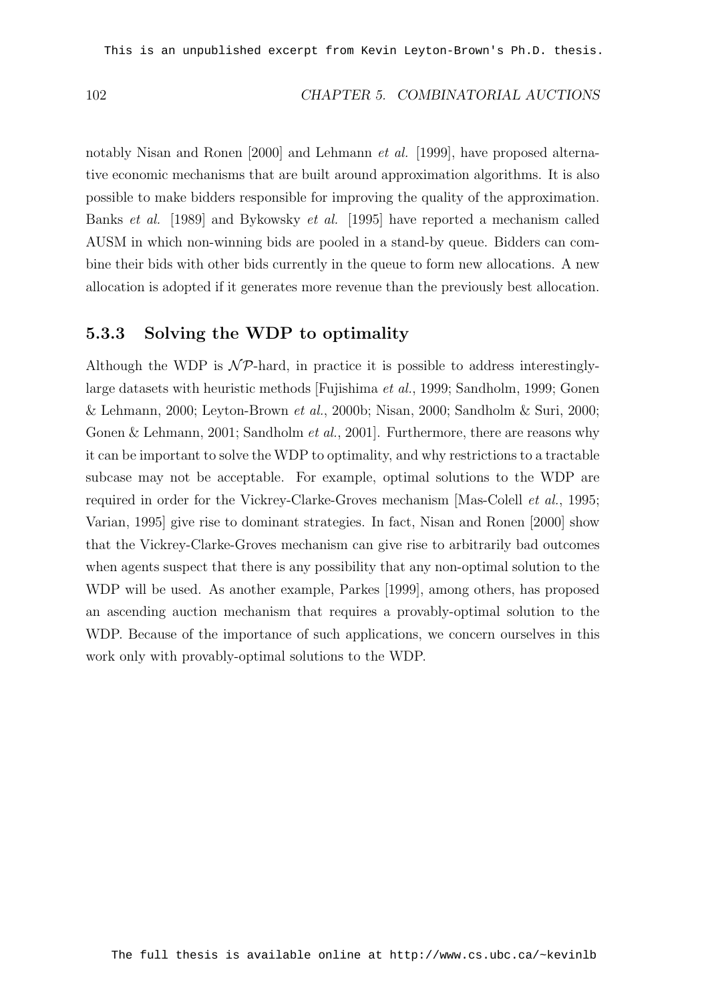notably Nisan and Ronen [2000] and Lehmann et al. [1999], have proposed alternative economic mechanisms that are built around approximation algorithms. It is also possible to make bidders responsible for improving the quality of the approximation. Banks et al. [1989] and Bykowsky et al. [1995] have reported a mechanism called AUSM in which non-winning bids are pooled in a stand-by queue. Bidders can combine their bids with other bids currently in the queue to form new allocations. A new allocation is adopted if it generates more revenue than the previously best allocation.

#### 5.3.3 Solving the WDP to optimality

Although the WDP is  $N \mathcal{P}$ -hard, in practice it is possible to address interestinglylarge datasets with heuristic methods [Fujishima et al., 1999; Sandholm, 1999; Gonen & Lehmann, 2000; Leyton-Brown et al., 2000b; Nisan, 2000; Sandholm & Suri, 2000; Gonen & Lehmann, 2001; Sandholm *et al.*, 2001]. Furthermore, there are reasons why it can be important to solve the WDP to optimality, and why restrictions to a tractable subcase may not be acceptable. For example, optimal solutions to the WDP are required in order for the Vickrey-Clarke-Groves mechanism [Mas-Colell *et al.*, 1995; Varian, 1995] give rise to dominant strategies. In fact, Nisan and Ronen [2000] show that the Vickrey-Clarke-Groves mechanism can give rise to arbitrarily bad outcomes when agents suspect that there is any possibility that any non-optimal solution to the WDP will be used. As another example, Parkes [1999], among others, has proposed an ascending auction mechanism that requires a provably-optimal solution to the WDP. Because of the importance of such applications, we concern ourselves in this work only with provably-optimal solutions to the WDP.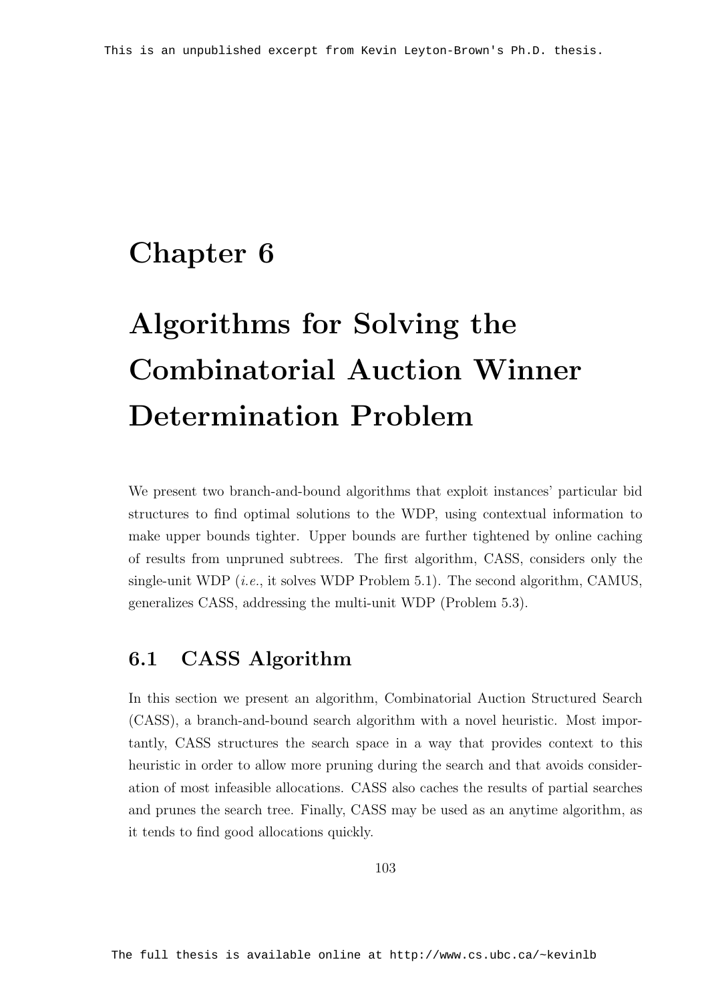### Chapter 6

# Algorithms for Solving the Combinatorial Auction Winner Determination Problem

We present two branch-and-bound algorithms that exploit instances' particular bid structures to find optimal solutions to the WDP, using contextual information to make upper bounds tighter. Upper bounds are further tightened by online caching of results from unpruned subtrees. The first algorithm, CASS, considers only the single-unit WDP (*i.e.*, it solves WDP Problem 5.1). The second algorithm, CAMUS, generalizes CASS, addressing the multi-unit WDP (Problem 5.3).

### 6.1 CASS Algorithm

In this section we present an algorithm, Combinatorial Auction Structured Search (CASS), a branch-and-bound search algorithm with a novel heuristic. Most importantly, CASS structures the search space in a way that provides context to this heuristic in order to allow more pruning during the search and that avoids consideration of most infeasible allocations. CASS also caches the results of partial searches and prunes the search tree. Finally, CASS may be used as an anytime algorithm, as it tends to find good allocations quickly.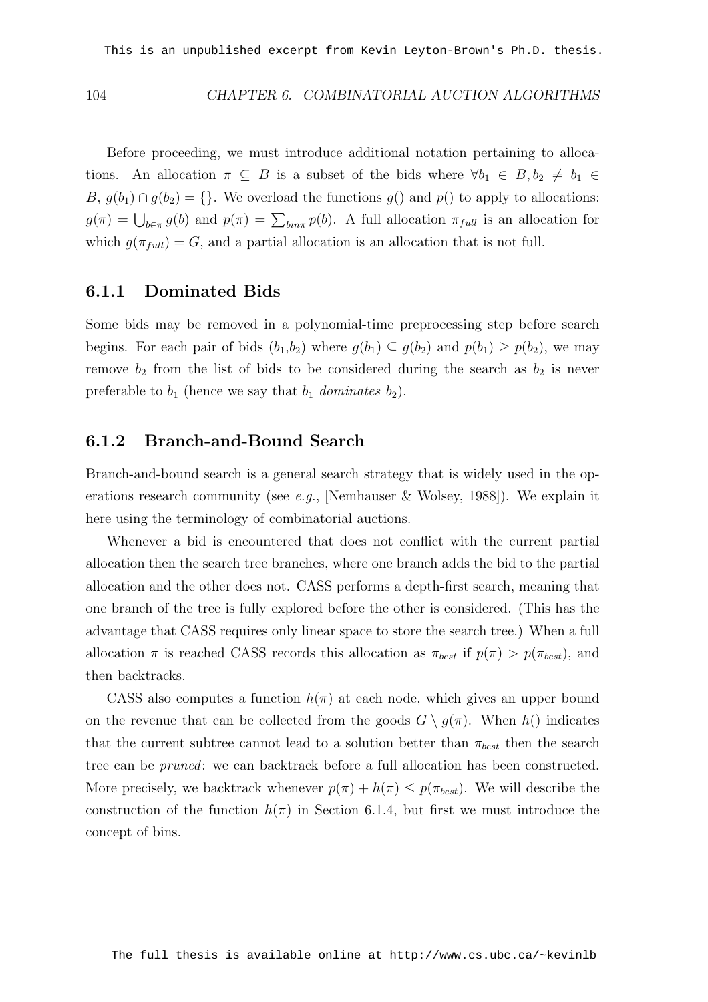#### 104 CHAPTER 6. COMBINATORIAL AUCTION ALGORITHMS

Before proceeding, we must introduce additional notation pertaining to allocations. An allocation  $\pi \subseteq B$  is a subset of the bids where  $\forall b_1 \in B, b_2 \neq b_1 \in$ B,  $g(b_1) \cap g(b_2) = \{\}.$  We overload the functions  $g()$  and  $p()$  to apply to allocations:  $g(\pi) = \bigcup_{b \in \pi} g(b)$  and  $p(\pi) = \sum_{bin\pi} p(b)$ . A full allocation  $\pi_{full}$  is an allocation for which  $g(\pi_{full}) = G$ , and a partial allocation is an allocation that is not full.

#### 6.1.1 Dominated Bids

Some bids may be removed in a polynomial-time preprocessing step before search begins. For each pair of bids  $(b_1,b_2)$  where  $g(b_1) \subseteq g(b_2)$  and  $p(b_1) \geq p(b_2)$ , we may remove  $b_2$  from the list of bids to be considered during the search as  $b_2$  is never preferable to  $b_1$  (hence we say that  $b_1$  dominates  $b_2$ ).

#### 6.1.2 Branch-and-Bound Search

Branch-and-bound search is a general search strategy that is widely used in the operations research community (see e.g., [Nemhauser & Wolsey, 1988]). We explain it here using the terminology of combinatorial auctions.

Whenever a bid is encountered that does not conflict with the current partial allocation then the search tree branches, where one branch adds the bid to the partial allocation and the other does not. CASS performs a depth-first search, meaning that one branch of the tree is fully explored before the other is considered. (This has the advantage that CASS requires only linear space to store the search tree.) When a full allocation  $\pi$  is reached CASS records this allocation as  $\pi_{best}$  if  $p(\pi) > p(\pi_{best})$ , and then backtracks.

CASS also computes a function  $h(\pi)$  at each node, which gives an upper bound on the revenue that can be collected from the goods  $G \setminus g(\pi)$ . When  $h()$  indicates that the current subtree cannot lead to a solution better than  $\pi_{best}$  then the search tree can be pruned: we can backtrack before a full allocation has been constructed. More precisely, we backtrack whenever  $p(\pi) + h(\pi) \leq p(\pi_{best})$ . We will describe the construction of the function  $h(\pi)$  in Section 6.1.4, but first we must introduce the concept of bins.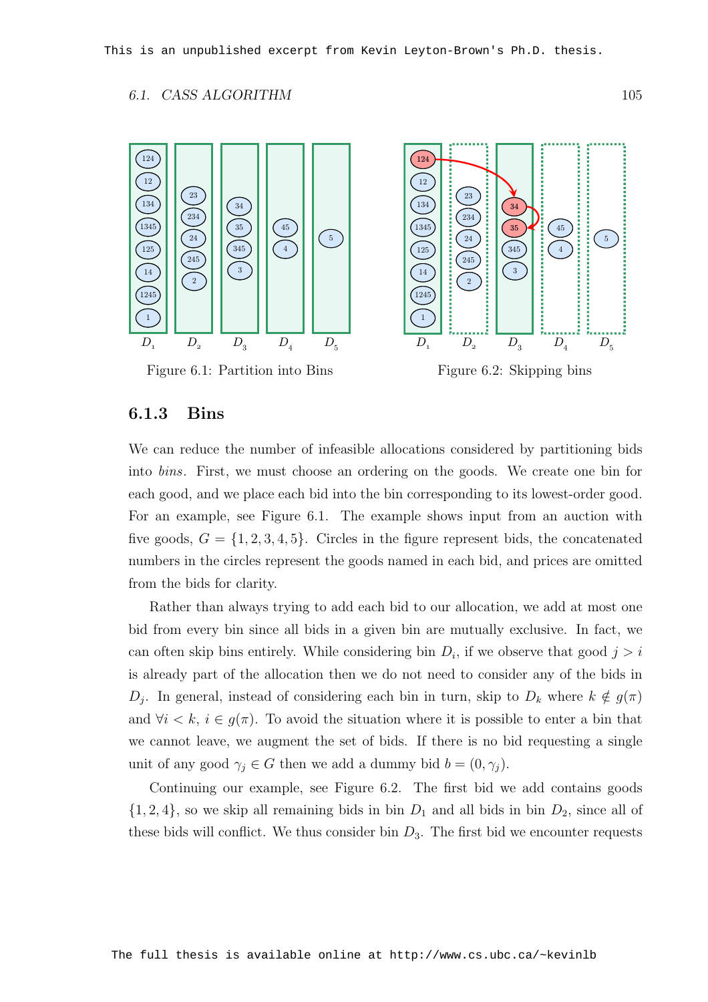#### 6.1. CASS ALGORITHM 105



Figure 6.1: Partition into Bins

Figure 6.2: Skipping bins

#### 6.1.3 Bins

We can reduce the number of infeasible allocations considered by partitioning bids into bins. First, we must choose an ordering on the goods. We create one bin for each good, and we place each bid into the bin corresponding to its lowest-order good. For an example, see Figure 6.1. The example shows input from an auction with five goods,  $G = \{1, 2, 3, 4, 5\}$ . Circles in the figure represent bids, the concatenated numbers in the circles represent the goods named in each bid, and prices are omitted from the bids for clarity.

Rather than always trying to add each bid to our allocation, we add at most one bid from every bin since all bids in a given bin are mutually exclusive. In fact, we can often skip bins entirely. While considering bin  $D_i$ , if we observe that good  $j > i$ is already part of the allocation then we do not need to consider any of the bids in  $D_j$ . In general, instead of considering each bin in turn, skip to  $D_k$  where  $k \notin g(\pi)$ and  $\forall i < k, i \in g(\pi)$ . To avoid the situation where it is possible to enter a bin that we cannot leave, we augment the set of bids. If there is no bid requesting a single unit of any good  $\gamma_i \in G$  then we add a dummy bid  $b = (0, \gamma_i)$ .

Continuing our example, see Figure 6.2. The first bid we add contains goods  $\{1, 2, 4\}$ , so we skip all remaining bids in bin  $D_1$  and all bids in bin  $D_2$ , since all of these bids will conflict. We thus consider bin  $D_3$ . The first bid we encounter requests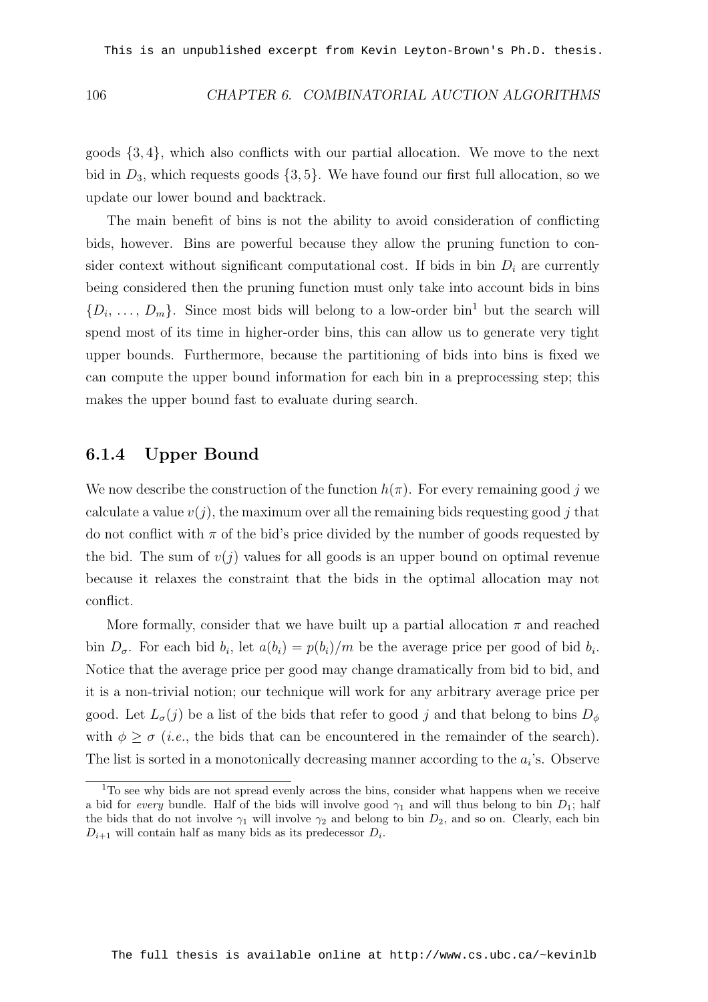#### 106 CHAPTER 6. COMBINATORIAL AUCTION ALGORITHMS

goods  $\{3, 4\}$ , which also conflicts with our partial allocation. We move to the next bid in  $D_3$ , which requests goods  $\{3, 5\}$ . We have found our first full allocation, so we update our lower bound and backtrack.

The main benefit of bins is not the ability to avoid consideration of conflicting bids, however. Bins are powerful because they allow the pruning function to consider context without significant computational cost. If bids in bin  $D_i$  are currently being considered then the pruning function must only take into account bids in bins  $\{D_i, \ldots, D_m\}$ . Since most bids will belong to a low-order bin<sup>1</sup> but the search will spend most of its time in higher-order bins, this can allow us to generate very tight upper bounds. Furthermore, because the partitioning of bids into bins is fixed we can compute the upper bound information for each bin in a preprocessing step; this makes the upper bound fast to evaluate during search.

#### 6.1.4 Upper Bound

We now describe the construction of the function  $h(\pi)$ . For every remaining good j we calculate a value  $v(j)$ , the maximum over all the remaining bids requesting good j that do not conflict with  $\pi$  of the bid's price divided by the number of goods requested by the bid. The sum of  $v(j)$  values for all goods is an upper bound on optimal revenue because it relaxes the constraint that the bids in the optimal allocation may not conflict.

More formally, consider that we have built up a partial allocation  $\pi$  and reached bin  $D_{\sigma}$ . For each bid  $b_i$ , let  $a(b_i) = p(b_i)/m$  be the average price per good of bid  $b_i$ . Notice that the average price per good may change dramatically from bid to bid, and it is a non-trivial notion; our technique will work for any arbitrary average price per good. Let  $L_{\sigma}(j)$  be a list of the bids that refer to good j and that belong to bins  $D_{\phi}$ with  $\phi \geq \sigma$  (*i.e.*, the bids that can be encountered in the remainder of the search). The list is sorted in a monotonically decreasing manner according to the  $a_i$ 's. Observe

<sup>&</sup>lt;sup>1</sup>To see why bids are not spread evenly across the bins, consider what happens when we receive a bid for every bundle. Half of the bids will involve good  $\gamma_1$  and will thus belong to bin  $D_1$ ; half the bids that do not involve  $\gamma_1$  will involve  $\gamma_2$  and belong to bin  $D_2$ , and so on. Clearly, each bin  $D_{i+1}$  will contain half as many bids as its predecessor  $D_i$ .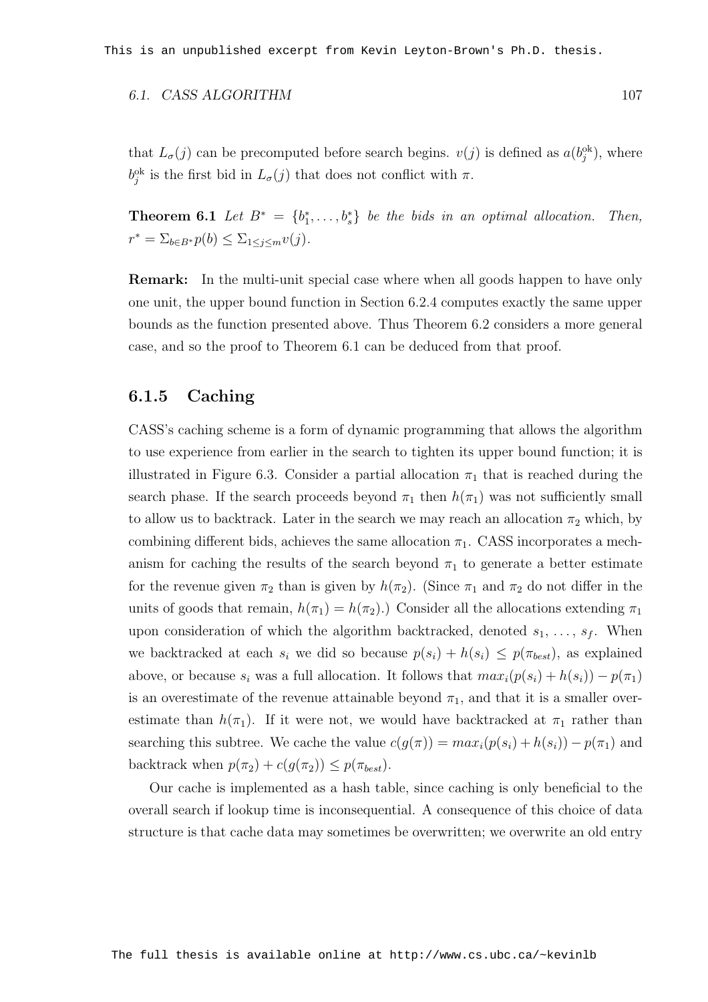#### 6.1. CASS ALGORITHM 107

that  $L_{\sigma}(j)$  can be precomputed before search begins.  $v(j)$  is defined as  $a(b_j^{\text{ok}})$ , where  $b_j^{ok}$  is the first bid in  $L_{\sigma}(j)$  that does not conflict with  $\pi$ .

**Theorem 6.1** Let  $B^* = \{b_1^*, \ldots, b_s^*\}$  be the bids in an optimal allocation. Then,  $r^* = \sum_{b \in B^*} p(b) \leq \sum_{1 \leq j \leq m} v(j).$ 

Remark: In the multi-unit special case where when all goods happen to have only one unit, the upper bound function in Section 6.2.4 computes exactly the same upper bounds as the function presented above. Thus Theorem 6.2 considers a more general case, and so the proof to Theorem 6.1 can be deduced from that proof.

#### 6.1.5 Caching

CASS's caching scheme is a form of dynamic programming that allows the algorithm to use experience from earlier in the search to tighten its upper bound function; it is illustrated in Figure 6.3. Consider a partial allocation  $\pi_1$  that is reached during the search phase. If the search proceeds beyond  $\pi_1$  then  $h(\pi_1)$  was not sufficiently small to allow us to backtrack. Later in the search we may reach an allocation  $\pi_2$  which, by combining different bids, achieves the same allocation  $\pi_1$ . CASS incorporates a mechanism for caching the results of the search beyond  $\pi_1$  to generate a better estimate for the revenue given  $\pi_2$  than is given by  $h(\pi_2)$ . (Since  $\pi_1$  and  $\pi_2$  do not differ in the units of goods that remain,  $h(\pi_1) = h(\pi_2)$ . Consider all the allocations extending  $\pi_1$ upon consideration of which the algorithm backtracked, denoted  $s_1, \ldots, s_f$ . When we backtracked at each  $s_i$  we did so because  $p(s_i) + h(s_i) \leq p(\pi_{best})$ , as explained above, or because  $s_i$  was a full allocation. It follows that  $max_i(p(s_i) + h(s_i)) - p(\pi_1)$ is an overestimate of the revenue attainable beyond  $\pi_1$ , and that it is a smaller overestimate than  $h(\pi_1)$ . If it were not, we would have backtracked at  $\pi_1$  rather than searching this subtree. We cache the value  $c(g(\pi)) = max_i(p(s_i) + h(s_i)) - p(\pi_1)$  and backtrack when  $p(\pi_2) + c(g(\pi_2)) \leq p(\pi_{best})$ .

Our cache is implemented as a hash table, since caching is only beneficial to the overall search if lookup time is inconsequential. A consequence of this choice of data structure is that cache data may sometimes be overwritten; we overwrite an old entry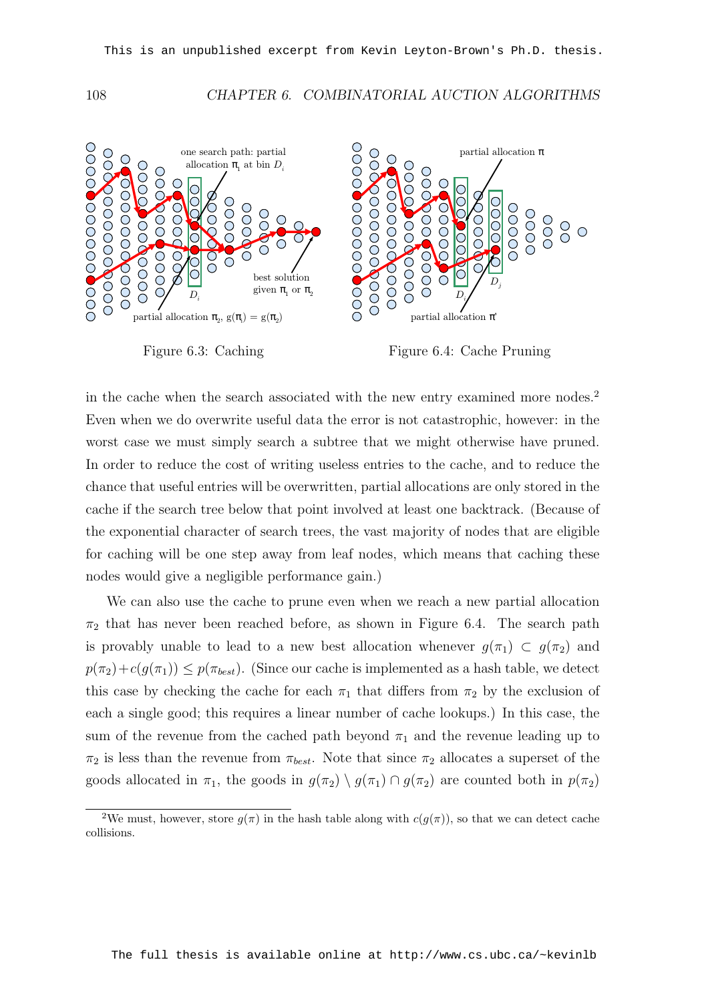108 CHAPTER 6. COMBINATORIAL AUCTION ALGORITHMS



Figure 6.3: Caching

Figure 6.4: Cache Pruning

in the cache when the search associated with the new entry examined more nodes.<sup>2</sup> Even when we do overwrite useful data the error is not catastrophic, however: in the worst case we must simply search a subtree that we might otherwise have pruned. In order to reduce the cost of writing useless entries to the cache, and to reduce the chance that useful entries will be overwritten, partial allocations are only stored in the cache if the search tree below that point involved at least one backtrack. (Because of the exponential character of search trees, the vast majority of nodes that are eligible for caching will be one step away from leaf nodes, which means that caching these nodes would give a negligible performance gain.)

We can also use the cache to prune even when we reach a new partial allocation  $\pi_2$  that has never been reached before, as shown in Figure 6.4. The search path is provably unable to lead to a new best allocation whenever  $g(\pi_1) \subset g(\pi_2)$  and  $p(\pi_2)+c(g(\pi_1)) \leq p(\pi_{best})$ . (Since our cache is implemented as a hash table, we detect this case by checking the cache for each  $\pi_1$  that differs from  $\pi_2$  by the exclusion of each a single good; this requires a linear number of cache lookups.) In this case, the sum of the revenue from the cached path beyond  $\pi_1$  and the revenue leading up to  $\pi_2$  is less than the revenue from  $\pi_{best}$ . Note that since  $\pi_2$  allocates a superset of the goods allocated in  $\pi_1$ , the goods in  $g(\pi_2) \setminus g(\pi_1) \cap g(\pi_2)$  are counted both in  $p(\pi_2)$ 

<sup>&</sup>lt;sup>2</sup>We must, however, store  $g(\pi)$  in the hash table along with  $c(g(\pi))$ , so that we can detect cache collisions.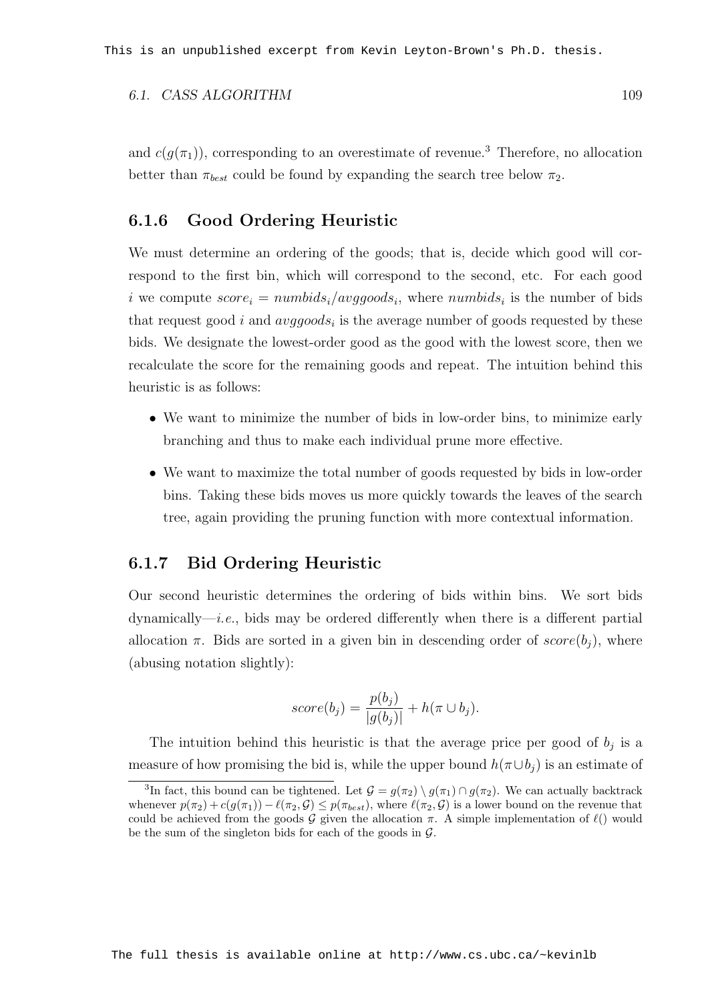#### 6.1. CASS ALGORITHM 109

and  $c(q(\pi_1))$ , corresponding to an overestimate of revenue.<sup>3</sup> Therefore, no allocation better than  $\pi_{best}$  could be found by expanding the search tree below  $\pi_2$ .

#### 6.1.6 Good Ordering Heuristic

We must determine an ordering of the goods; that is, decide which good will correspond to the first bin, which will correspond to the second, etc. For each good i we compute  $score_i = numbids_i/avggoods_i$ , where  $numbids_i$  is the number of bids that request good i and  $avggoods_i$  is the average number of goods requested by these bids. We designate the lowest-order good as the good with the lowest score, then we recalculate the score for the remaining goods and repeat. The intuition behind this heuristic is as follows:

- We want to minimize the number of bids in low-order bins, to minimize early branching and thus to make each individual prune more effective.
- We want to maximize the total number of goods requested by bids in low-order bins. Taking these bids moves us more quickly towards the leaves of the search tree, again providing the pruning function with more contextual information.

#### 6.1.7 Bid Ordering Heuristic

Our second heuristic determines the ordering of bids within bins. We sort bids  $d$ ynamically—*i.e.*, bids may be ordered differently when there is a different partial allocation  $\pi$ . Bids are sorted in a given bin in descending order of  $score(b_i)$ , where (abusing notation slightly):

$$
score(b_j) = \frac{p(b_j)}{|g(b_j)|} + h(\pi \cup b_j).
$$

The intuition behind this heuristic is that the average price per good of  $b_j$  is a measure of how promising the bid is, while the upper bound  $h(\pi \cup b_i)$  is an estimate of

<sup>&</sup>lt;sup>3</sup>In fact, this bound can be tightened. Let  $\mathcal{G} = g(\pi_2) \setminus g(\pi_1) \cap g(\pi_2)$ . We can actually backtrack whenever  $p(\pi_2) + c(g(\pi_1)) - \ell(\pi_2, \mathcal{G}) \leq p(\pi_{best})$ , where  $\ell(\pi_2, \mathcal{G})$  is a lower bound on the revenue that could be achieved from the goods G given the allocation  $\pi$ . A simple implementation of  $\ell$ ) would be the sum of the singleton bids for each of the goods in  $\mathcal{G}$ .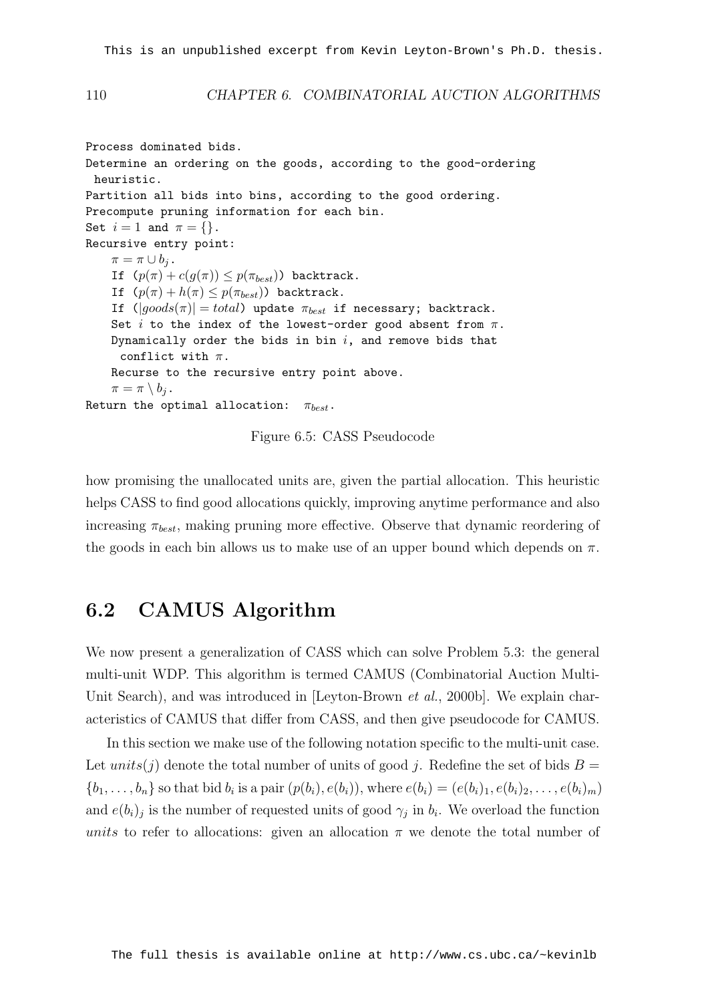#### 110 CHAPTER 6. COMBINATORIAL AUCTION ALGORITHMS

Process dominated bids. Determine an ordering on the goods, according to the good-ordering heuristic. Partition all bids into bins, according to the good ordering. Precompute pruning information for each bin. Set  $i = 1$  and  $\pi = \{\}.$ Recursive entry point:  $\pi = \pi \cup b_i$ . If  $(p(\pi) + c(g(\pi)) \leq p(\pi_{best}))$  backtrack. If  $(p(\pi) + h(\pi) \leq p(\pi_{best}))$  backtrack. If  $(|qoods(\pi)| = total)$  update  $\pi_{best}$  if necessary; backtrack. Set  $i$  to the index of the lowest-order good absent from  $\pi$ . Dynamically order the bids in bin  $i$ , and remove bids that conflict with  $\pi$ . Recurse to the recursive entry point above.  $\pi = \pi \setminus b_i$ . Return the optimal allocation:  $\pi_{best}$ .

Figure 6.5: CASS Pseudocode

how promising the unallocated units are, given the partial allocation. This heuristic helps CASS to find good allocations quickly, improving anytime performance and also increasing  $\pi_{best}$ , making pruning more effective. Observe that dynamic reordering of the goods in each bin allows us to make use of an upper bound which depends on  $\pi$ .

### 6.2 CAMUS Algorithm

We now present a generalization of CASS which can solve Problem 5.3: the general multi-unit WDP. This algorithm is termed CAMUS (Combinatorial Auction Multi-Unit Search), and was introduced in [Leyton-Brown *et al.*, 2000b]. We explain characteristics of CAMUS that differ from CASS, and then give pseudocode for CAMUS.

In this section we make use of the following notation specific to the multi-unit case. Let units(j) denote the total number of units of good j. Redefine the set of bids  $B =$  $\{b_1, \ldots, b_n\}$  so that bid  $b_i$  is a pair  $(p(b_i), e(b_i))$ , where  $e(b_i) = (e(b_i)_1, e(b_i)_2, \ldots, e(b_i)_m)$ and  $e(b_i)_j$  is the number of requested units of good  $\gamma_j$  in  $b_i$ . We overload the function units to refer to allocations: given an allocation  $\pi$  we denote the total number of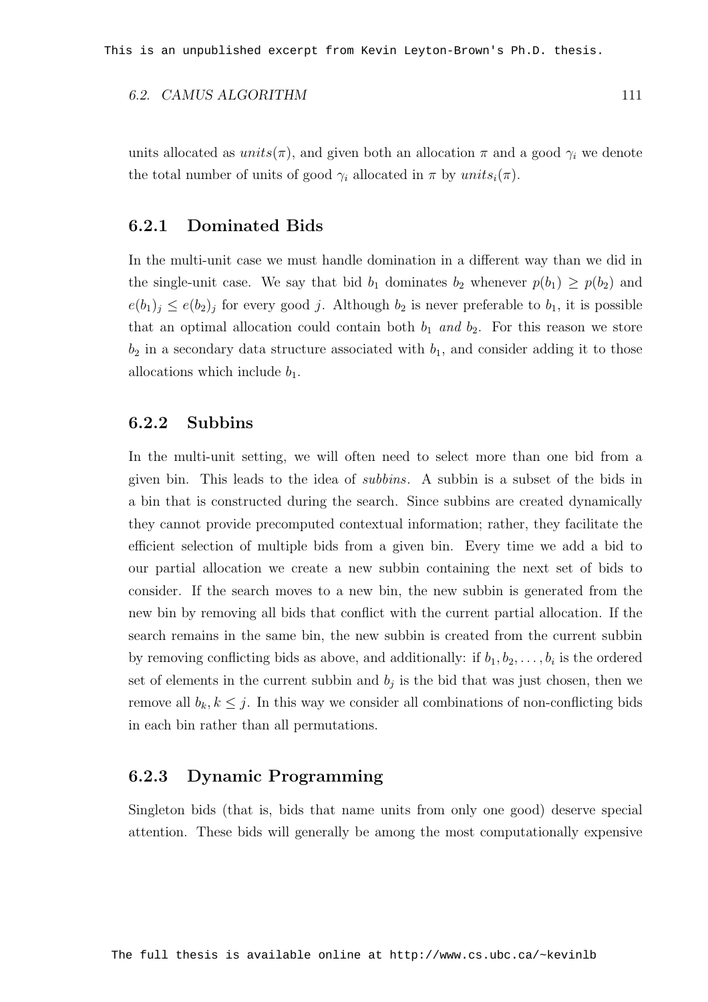#### 6.2. CAMUS ALGORITHM 111

units allocated as  $units(\pi)$ , and given both an allocation  $\pi$  and a good  $\gamma_i$  we denote the total number of units of good  $\gamma_i$  allocated in  $\pi$  by  $units_i(\pi)$ .

#### 6.2.1 Dominated Bids

In the multi-unit case we must handle domination in a different way than we did in the single-unit case. We say that bid  $b_1$  dominates  $b_2$  whenever  $p(b_1) \geq p(b_2)$  and  $e(b_1)_j \leq e(b_2)_j$  for every good j. Although  $b_2$  is never preferable to  $b_1$ , it is possible that an optimal allocation could contain both  $b_1$  and  $b_2$ . For this reason we store  $b_2$  in a secondary data structure associated with  $b_1$ , and consider adding it to those allocations which include  $b_1$ .

#### 6.2.2 Subbins

In the multi-unit setting, we will often need to select more than one bid from a given bin. This leads to the idea of subbins. A subbin is a subset of the bids in a bin that is constructed during the search. Since subbins are created dynamically they cannot provide precomputed contextual information; rather, they facilitate the efficient selection of multiple bids from a given bin. Every time we add a bid to our partial allocation we create a new subbin containing the next set of bids to consider. If the search moves to a new bin, the new subbin is generated from the new bin by removing all bids that conflict with the current partial allocation. If the search remains in the same bin, the new subbin is created from the current subbin by removing conflicting bids as above, and additionally: if  $b_1, b_2, \ldots, b_i$  is the ordered set of elements in the current subbin and  $b_j$  is the bid that was just chosen, then we remove all  $b_k, k \leq j$ . In this way we consider all combinations of non-conflicting bids in each bin rather than all permutations.

#### 6.2.3 Dynamic Programming

Singleton bids (that is, bids that name units from only one good) deserve special attention. These bids will generally be among the most computationally expensive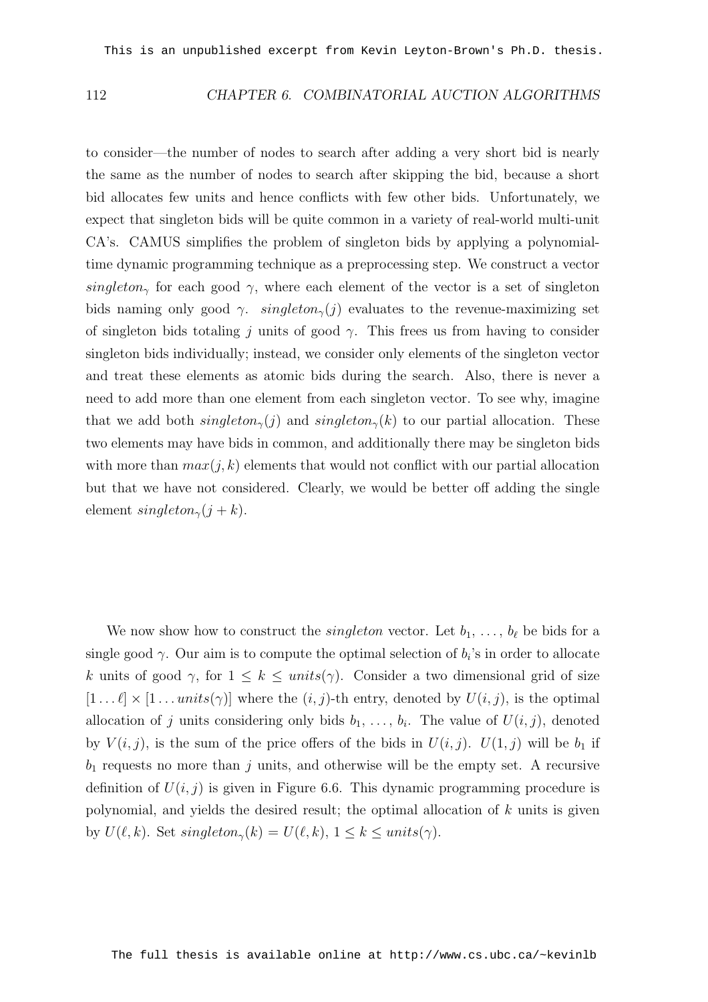#### 112 CHAPTER 6. COMBINATORIAL AUCTION ALGORITHMS

to consider—the number of nodes to search after adding a very short bid is nearly the same as the number of nodes to search after skipping the bid, because a short bid allocates few units and hence conflicts with few other bids. Unfortunately, we expect that singleton bids will be quite common in a variety of real-world multi-unit CA's. CAMUS simplifies the problem of singleton bids by applying a polynomialtime dynamic programming technique as a preprocessing step. We construct a vector singleton<sub>γ</sub> for each good γ, where each element of the vector is a set of singleton bids naming only good  $\gamma$ . singleton<sub> $\gamma$ </sub>(j) evaluates to the revenue-maximizing set of singleton bids totaling j units of good  $\gamma$ . This frees us from having to consider singleton bids individually; instead, we consider only elements of the singleton vector and treat these elements as atomic bids during the search. Also, there is never a need to add more than one element from each singleton vector. To see why, imagine that we add both  $singleton_{\gamma}(j)$  and  $singleton_{\gamma}(k)$  to our partial allocation. These two elements may have bids in common, and additionally there may be singleton bids with more than  $max(j, k)$  elements that would not conflict with our partial allocation but that we have not considered. Clearly, we would be better off adding the single element singleton<sub> $\gamma(j + k)$ </sub>.

We now show how to construct the *singleton* vector. Let  $b_1, \ldots, b_\ell$  be bids for a single good  $\gamma$ . Our aim is to compute the optimal selection of  $b_i$ 's in order to allocate k units of good  $\gamma$ , for  $1 \leq k \leq units(\gamma)$ . Consider a two dimensional grid of size  $[1 \dots \ell] \times [1 \dots units(\gamma)]$  where the  $(i, j)$ -th entry, denoted by  $U(i, j)$ , is the optimal allocation of j units considering only bids  $b_1, \ldots, b_i$ . The value of  $U(i, j)$ , denoted by  $V(i, j)$ , is the sum of the price offers of the bids in  $U(i, j)$ .  $U(1, j)$  will be  $b_1$  if  $b_1$  requests no more than j units, and otherwise will be the empty set. A recursive definition of  $U(i, j)$  is given in Figure 6.6. This dynamic programming procedure is polynomial, and yields the desired result; the optimal allocation of k units is given by  $U(\ell, k)$ . Set  $singleton_{\gamma}(k) = U(\ell, k), 1 \leq k \leq units(\gamma)$ .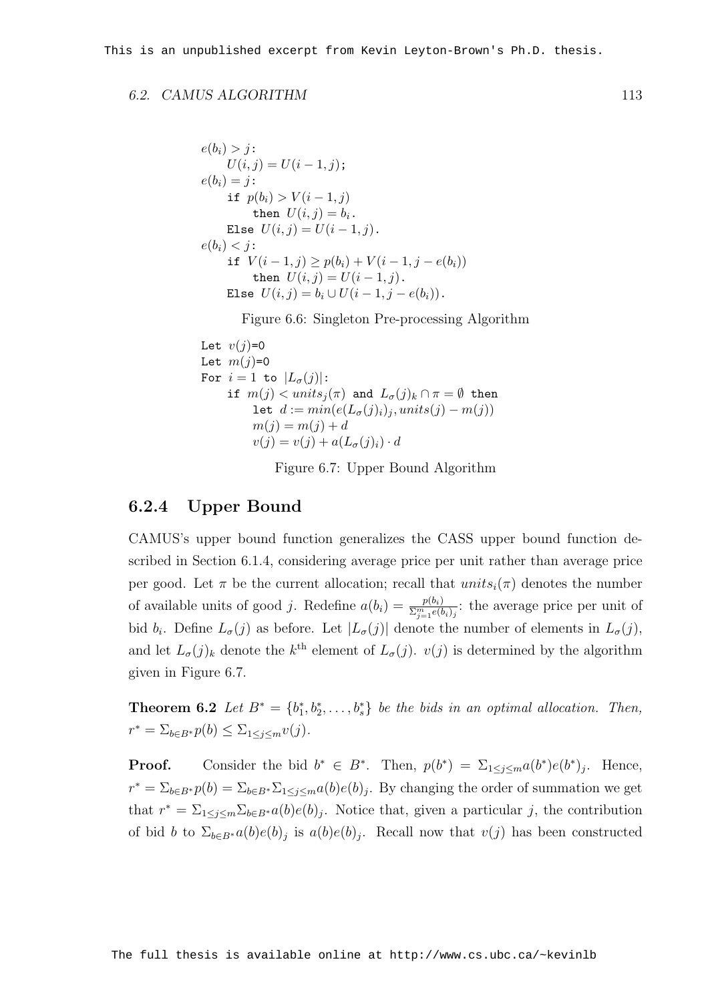#### 6.2. CAMUS ALGORITHM 113

$$
e(b_i) > j:
$$
  
\n
$$
U(i, j) = U(i - 1, j);
$$
  
\n
$$
e(b_i) = j:
$$
  
\nif  $p(b_i) > V(i - 1, j)$   
\nthen  $U(i, j) = b_i$ .  
\nElse  $U(i, j) = U(i - 1, j)$ .  
\n $e(b_i) < j:$   
\nif  $V(i - 1, j) \ge p(b_i) + V(i - 1, j - e(b_i))$   
\nthen  $U(i, j) = U(i - 1, j)$ .  
\nElse  $U(i, j) = b_i \cup U(i - 1, j - e(b_i))$ .

Figure 6.6: Singleton Pre-processing Algorithm

```
Let v(j)=0Let m(j)=0For i = 1 to |L_{\sigma}(j)|:
     if m(j) < units_j(\pi) and L_{\sigma}(j)_k \cap \pi = \emptyset then
           let d := min(e(L_{\sigma}(j)_i), units(j) - m(j))m(j) = m(j) + dv(j) = v(j) + a(L_{\sigma}(j)_i) \cdot d
```
Figure 6.7: Upper Bound Algorithm

#### 6.2.4 Upper Bound

CAMUS's upper bound function generalizes the CASS upper bound function described in Section 6.1.4, considering average price per unit rather than average price per good. Let  $\pi$  be the current allocation; recall that  $units_i(\pi)$  denotes the number of available units of good j. Redefine  $a(b_i) = \frac{p(b_i)}{\sum_{j=1}^m e(b_i)_j}$ : the average price per unit of bid  $b_i$ . Define  $L_{\sigma}(j)$  as before. Let  $|L_{\sigma}(j)|$  denote the number of elements in  $L_{\sigma}(j)$ , and let  $L_{\sigma}(j)_{k}$  denote the k<sup>th</sup> element of  $L_{\sigma}(j)$ .  $v(j)$  is determined by the algorithm given in Figure 6.7.

**Theorem 6.2** Let  $B^* = \{b_1^*, b_2^*, \ldots, b_s^*\}$  be the bids in an optimal allocation. Then,  $r^* = \sum_{b \in B^*} p(b) \leq \sum_{1 \leq j \leq m} v(j).$ 

**Proof.** Consider the bid  $b^* \in B^*$ . Then,  $p(b^*) = \sum_{1 \leq j \leq m} a(b^*)e(b^*)_j$ . Hence,  $r^* = \sum_{b \in B^*} p(b) = \sum_{b \in B^*} \sum_{1 \le j \le m} a(b)e(b)_j$ . By changing the order of summation we get that  $r^* = \sum_{1 \leq j \leq m} \sum_{b \in B^*} a(b)e(b)_j$ . Notice that, given a particular j, the contribution of bid b to  $\Sigma_{b\in B^*}a(b)e(b)_j$  is  $a(b)e(b)_j$ . Recall now that  $v(j)$  has been constructed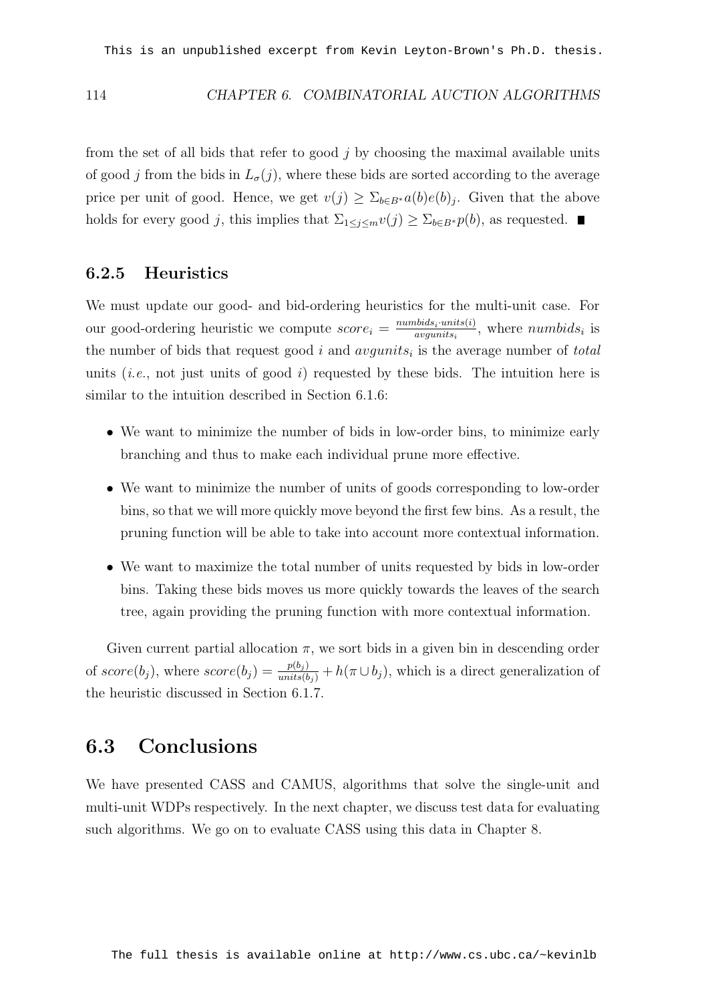#### 114 CHAPTER 6. COMBINATORIAL AUCTION ALGORITHMS

from the set of all bids that refer to good  $j$  by choosing the maximal available units of good j from the bids in  $L_{\sigma}(j)$ , where these bids are sorted according to the average price per unit of good. Hence, we get  $v(j) \geq \sum_{b \in B^*} a(b)e(b)_j$ . Given that the above holds for every good j, this implies that  $\Sigma_{1\leq j\leq m}v(j)\geq \Sigma_{b\in B^*}p(b)$ , as requested.  $\blacksquare$ 

#### 6.2.5 Heuristics

We must update our good- and bid-ordering heuristics for the multi-unit case. For our good-ordering heuristic we compute  $score_i = \frac{number_{dis} \cdot units(i)}{avounits_i}$  $\frac{a_{\text{max}}_{i} \cdot \text{units}(i)}{a_{\text{varist}}},$  where  $\text{numbids}_i$  is the number of bids that request good i and  $avgunits<sub>i</sub>$  is the average number of total units (*i.e.*, not just units of good *i*) requested by these bids. The intuition here is similar to the intuition described in Section 6.1.6:

- We want to minimize the number of bids in low-order bins, to minimize early branching and thus to make each individual prune more effective.
- We want to minimize the number of units of goods corresponding to low-order bins, so that we will more quickly move beyond the first few bins. As a result, the pruning function will be able to take into account more contextual information.
- We want to maximize the total number of units requested by bids in low-order bins. Taking these bids moves us more quickly towards the leaves of the search tree, again providing the pruning function with more contextual information.

Given current partial allocation  $\pi$ , we sort bids in a given bin in descending order of  $score(b_j)$ , where  $score(b_j) = \frac{p(b_j)}{units(b_j)} + h(\pi \cup b_j)$ , which is a direct generalization of the heuristic discussed in Section 6.1.7.

#### 6.3 Conclusions

We have presented CASS and CAMUS, algorithms that solve the single-unit and multi-unit WDPs respectively. In the next chapter, we discuss test data for evaluating such algorithms. We go on to evaluate CASS using this data in Chapter 8.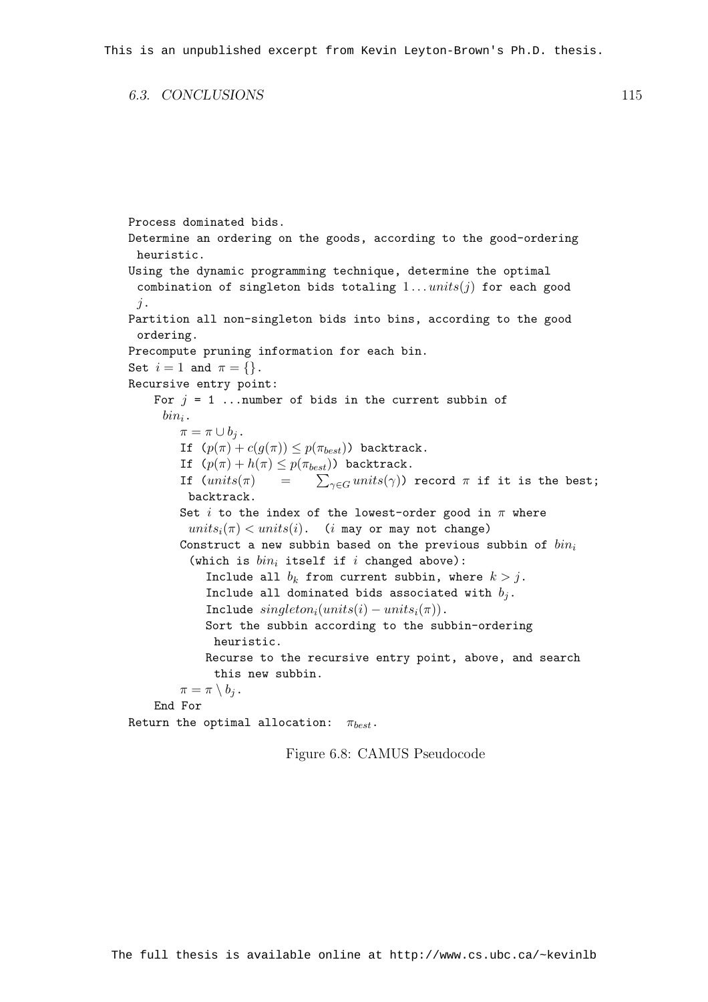6.3. CONCLUSIONS 115

```
Process dominated bids.
Determine an ordering on the goods, according to the good-ordering
 heuristic.
Using the dynamic programming technique, determine the optimal
 combination of singleton bids totaling 1...units(j) for each good
 j.
Partition all non-singleton bids into bins, according to the good
 ordering.
Precompute pruning information for each bin.
Set i = 1 and \pi = \{\}.Recursive entry point:
    For j = 1 ... number of bids in the current subbin of
     bin_i.
        \pi = \pi \cup b_i.
        If (p(\pi) + c(g(\pi)) \leq p(\pi_{best})) backtrack.
         If (p(\pi) + h(\pi) \le p(\pi_{best})) backtrack.<br>If (units(\pi) = \sum_{\gamma \in G} units(\gamma))\sum_{\gamma\in G}units(\gamma)) record \pi if it is the best;
         backtrack.
        Set i to the index of the lowest-order good in \pi where
          units_i(\pi) < units(i). (i may or may not change)
        Construct a new subbin based on the previous subbin of bin_i(which is bin_i itself if i changed above):
             Include all b_k from current subbin, where k > j.
             Include all dominated bids associated with b_i.
             Include singleton_i(units(i) - units_i(\pi)).
             Sort the subbin according to the subbin-ordering
              heuristic.
             Recurse to the recursive entry point, above, and search
              this new subbin.
        \pi = \pi \setminus b_i.
    End For
Return the optimal allocation: \pi_{best}.
```
Figure 6.8: CAMUS Pseudocode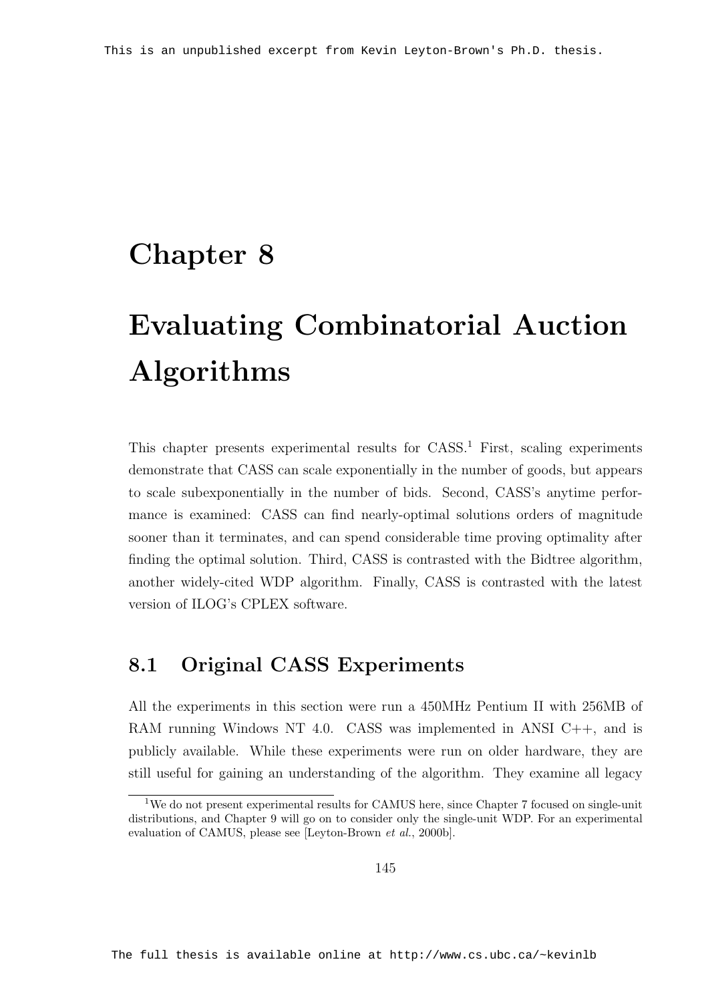### Chapter 8

# Evaluating Combinatorial Auction Algorithms

This chapter presents experimental results for CASS.<sup>1</sup> First, scaling experiments demonstrate that CASS can scale exponentially in the number of goods, but appears to scale subexponentially in the number of bids. Second, CASS's anytime performance is examined: CASS can find nearly-optimal solutions orders of magnitude sooner than it terminates, and can spend considerable time proving optimality after finding the optimal solution. Third, CASS is contrasted with the Bidtree algorithm, another widely-cited WDP algorithm. Finally, CASS is contrasted with the latest version of ILOG's CPLEX software.

### 8.1 Original CASS Experiments

All the experiments in this section were run a 450MHz Pentium II with 256MB of RAM running Windows NT 4.0. CASS was implemented in ANSI C++, and is publicly available. While these experiments were run on older hardware, they are still useful for gaining an understanding of the algorithm. They examine all legacy

<sup>1</sup>We do not present experimental results for CAMUS here, since Chapter 7 focused on single-unit distributions, and Chapter 9 will go on to consider only the single-unit WDP. For an experimental evaluation of CAMUS, please see [Leyton-Brown et al., 2000b].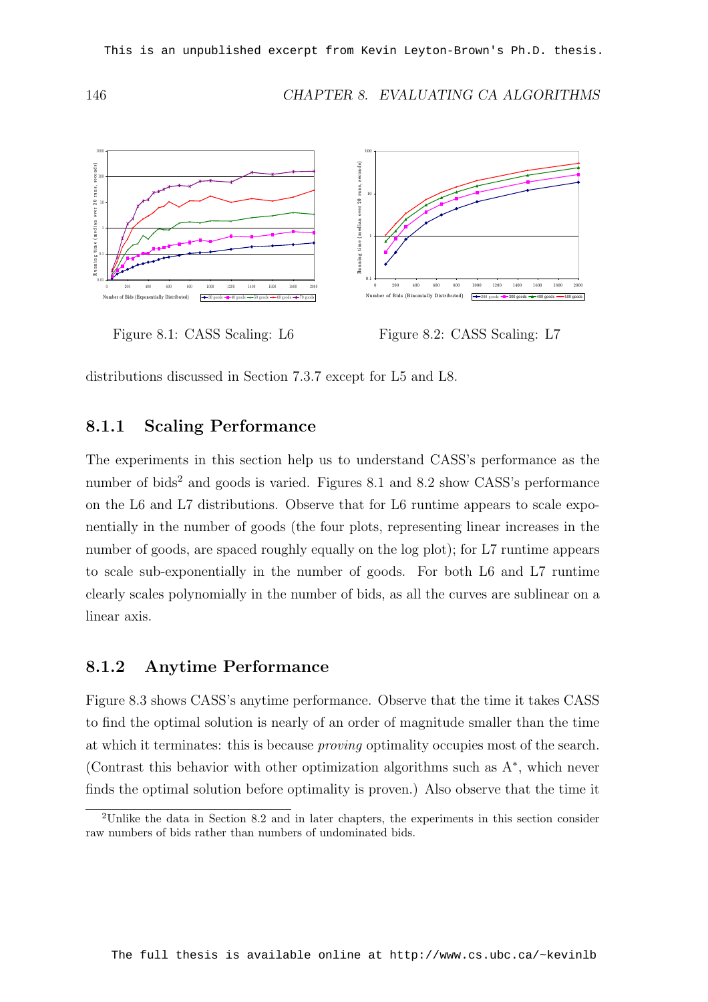146 CHAPTER 8. EVALUATING CA ALGORITHMS





Figure 8.2: CASS Scaling: L7

distributions discussed in Section 7.3.7 except for L5 and L8.

#### 8.1.1 Scaling Performance

The experiments in this section help us to understand CASS's performance as the number of bids<sup>2</sup> and goods is varied. Figures 8.1 and 8.2 show CASS's performance on the L6 and L7 distributions. Observe that for L6 runtime appears to scale exponentially in the number of goods (the four plots, representing linear increases in the number of goods, are spaced roughly equally on the log plot); for L7 runtime appears to scale sub-exponentially in the number of goods. For both L6 and L7 runtime clearly scales polynomially in the number of bids, as all the curves are sublinear on a linear axis.

#### 8.1.2 Anytime Performance

Figure 8.3 shows CASS's anytime performance. Observe that the time it takes CASS to find the optimal solution is nearly of an order of magnitude smaller than the time at which it terminates: this is because proving optimality occupies most of the search. (Contrast this behavior with other optimization algorithms such as A<sup>∗</sup> , which never finds the optimal solution before optimality is proven.) Also observe that the time it

<sup>2</sup>Unlike the data in Section 8.2 and in later chapters, the experiments in this section consider raw numbers of bids rather than numbers of undominated bids.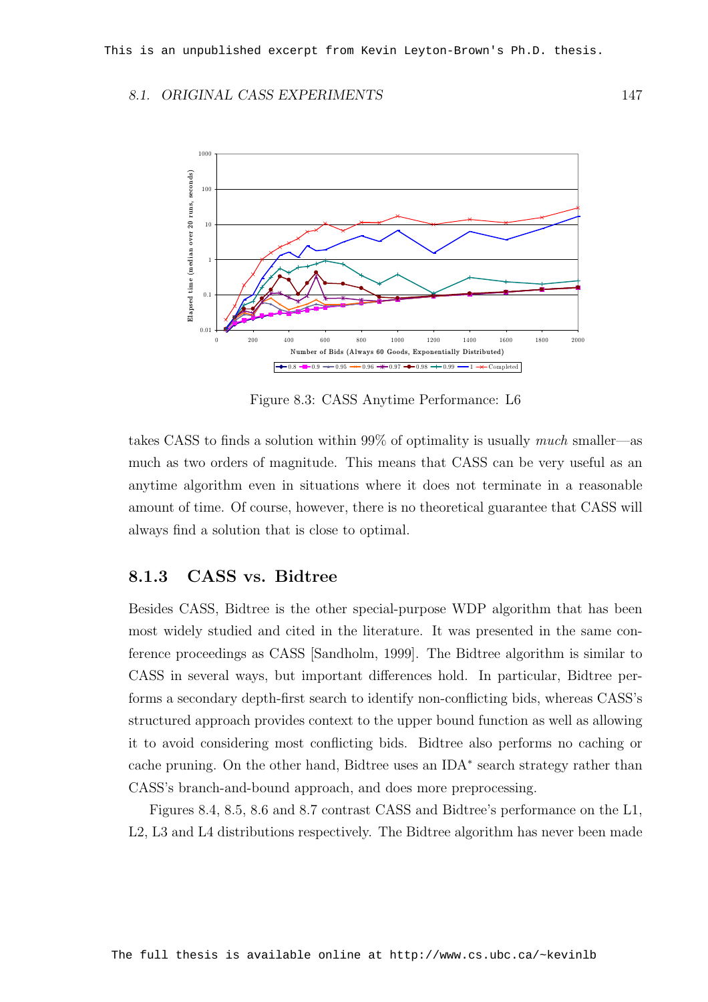#### 8.1. ORIGINAL CASS EXPERIMENTS 147



Figure 8.3: CASS Anytime Performance: L6

takes CASS to finds a solution within 99% of optimality is usually much smaller—as much as two orders of magnitude. This means that CASS can be very useful as an anytime algorithm even in situations where it does not terminate in a reasonable amount of time. Of course, however, there is no theoretical guarantee that CASS will always find a solution that is close to optimal.

#### 8.1.3 CASS vs. Bidtree

Besides CASS, Bidtree is the other special-purpose WDP algorithm that has been most widely studied and cited in the literature. It was presented in the same conference proceedings as CASS [Sandholm, 1999]. The Bidtree algorithm is similar to CASS in several ways, but important differences hold. In particular, Bidtree performs a secondary depth-first search to identify non-conflicting bids, whereas CASS's structured approach provides context to the upper bound function as well as allowing it to avoid considering most conflicting bids. Bidtree also performs no caching or cache pruning. On the other hand, Bidtree uses an IDA<sup>∗</sup> search strategy rather than CASS's branch-and-bound approach, and does more preprocessing.

Figures 8.4, 8.5, 8.6 and 8.7 contrast CASS and Bidtree's performance on the L1, L2, L3 and L4 distributions respectively. The Bidtree algorithm has never been made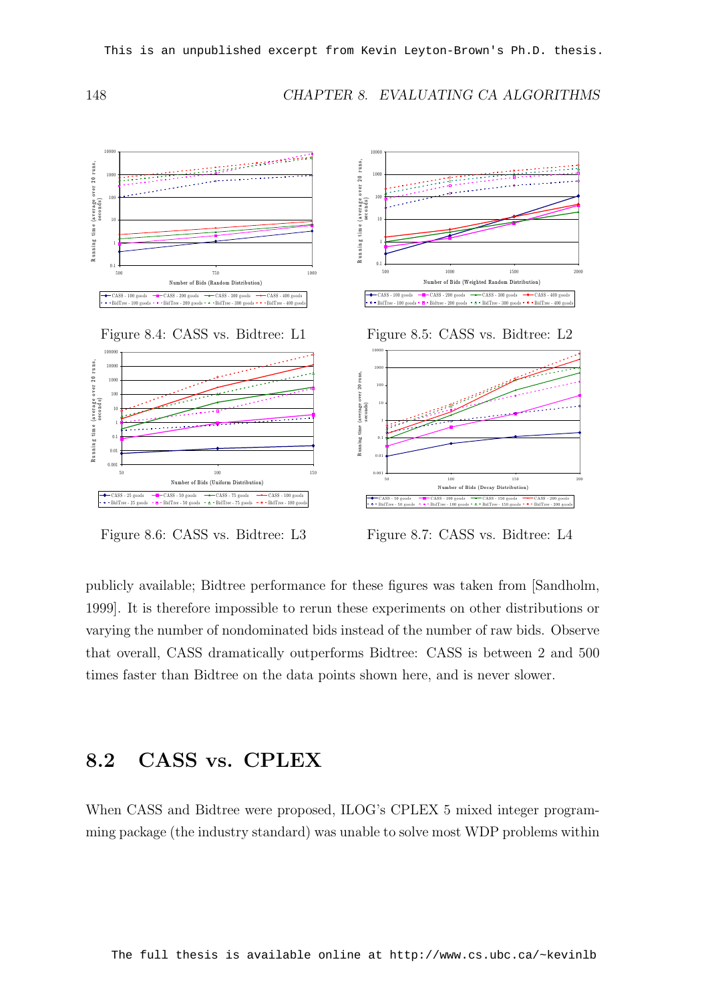148 CHAPTER 8. EVALUATING CA ALGORITHMS



Figure 8.6: CASS vs. Bidtree: L3

Figure 8.7: CASS vs. Bidtree: L4

publicly available; Bidtree performance for these figures was taken from [Sandholm, 1999]. It is therefore impossible to rerun these experiments on other distributions or varying the number of nondominated bids instead of the number of raw bids. Observe that overall, CASS dramatically outperforms Bidtree: CASS is between 2 and 500 times faster than Bidtree on the data points shown here, and is never slower.

#### 8.2 CASS vs. CPLEX

When CASS and Bidtree were proposed, ILOG's CPLEX 5 mixed integer programming package (the industry standard) was unable to solve most WDP problems within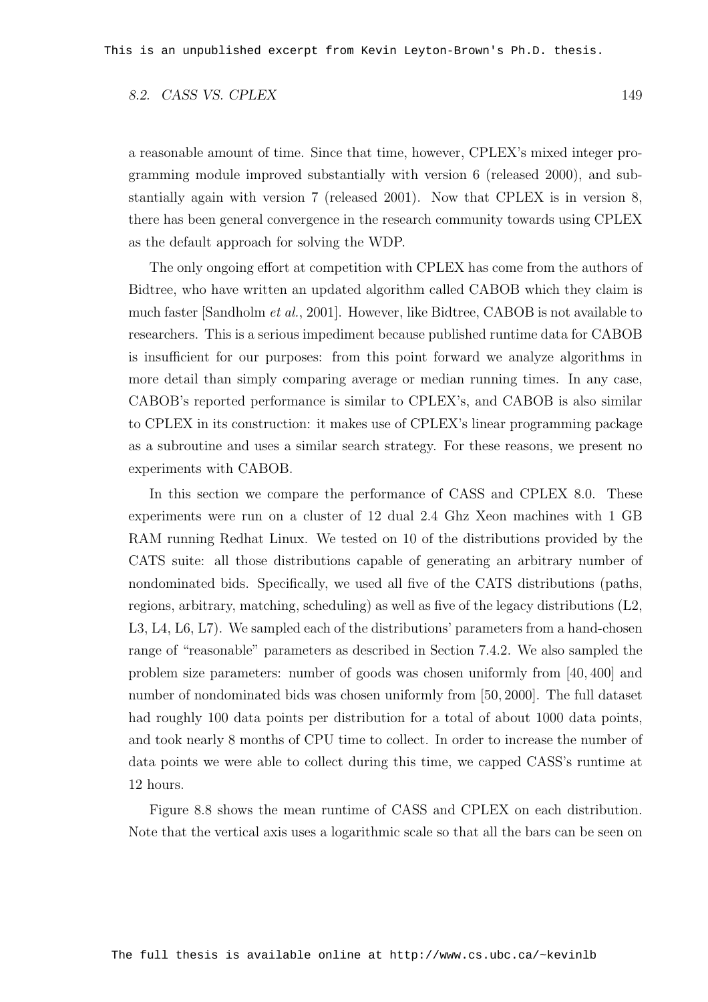#### 8.2. CASS VS. CPLEX 149

a reasonable amount of time. Since that time, however, CPLEX's mixed integer programming module improved substantially with version 6 (released 2000), and substantially again with version 7 (released 2001). Now that CPLEX is in version 8, there has been general convergence in the research community towards using CPLEX as the default approach for solving the WDP.

The only ongoing effort at competition with CPLEX has come from the authors of Bidtree, who have written an updated algorithm called CABOB which they claim is much faster [Sandholm et al., 2001]. However, like Bidtree, CABOB is not available to researchers. This is a serious impediment because published runtime data for CABOB is insufficient for our purposes: from this point forward we analyze algorithms in more detail than simply comparing average or median running times. In any case, CABOB's reported performance is similar to CPLEX's, and CABOB is also similar to CPLEX in its construction: it makes use of CPLEX's linear programming package as a subroutine and uses a similar search strategy. For these reasons, we present no experiments with CABOB.

In this section we compare the performance of CASS and CPLEX 8.0. These experiments were run on a cluster of 12 dual 2.4 Ghz Xeon machines with 1 GB RAM running Redhat Linux. We tested on 10 of the distributions provided by the CATS suite: all those distributions capable of generating an arbitrary number of nondominated bids. Specifically, we used all five of the CATS distributions (paths, regions, arbitrary, matching, scheduling) as well as five of the legacy distributions (L2, L3, L4, L6, L7). We sampled each of the distributions' parameters from a hand-chosen range of "reasonable" parameters as described in Section 7.4.2. We also sampled the problem size parameters: number of goods was chosen uniformly from [40, 400] and number of nondominated bids was chosen uniformly from [50, 2000]. The full dataset had roughly 100 data points per distribution for a total of about 1000 data points, and took nearly 8 months of CPU time to collect. In order to increase the number of data points we were able to collect during this time, we capped CASS's runtime at 12 hours.

Figure 8.8 shows the mean runtime of CASS and CPLEX on each distribution. Note that the vertical axis uses a logarithmic scale so that all the bars can be seen on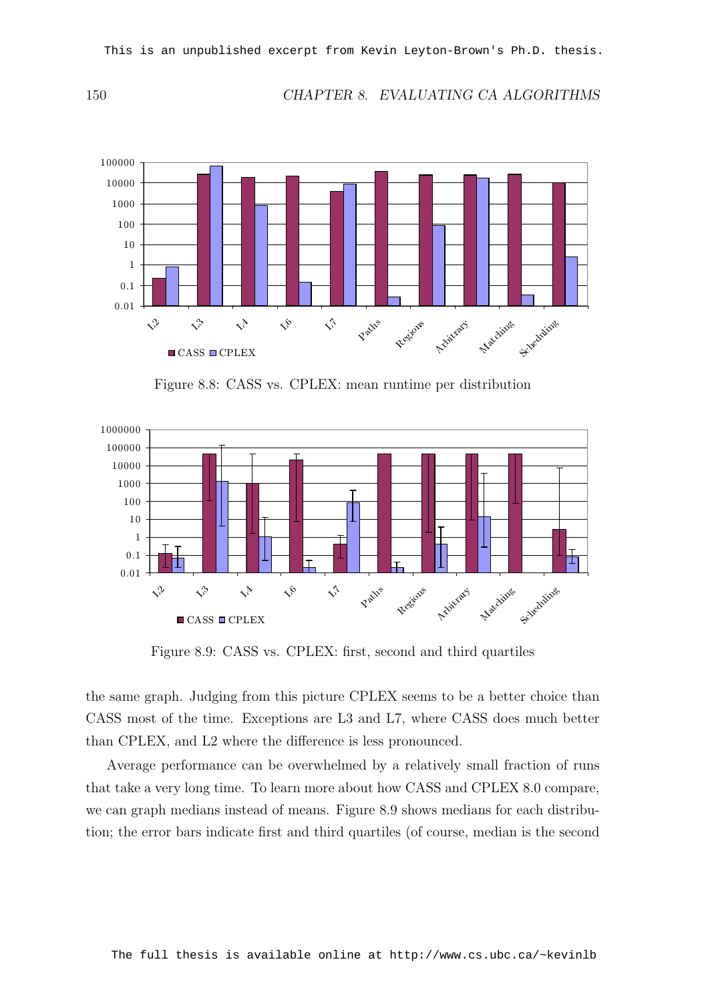150 CHAPTER 8. EVALUATING CA ALGORITHMS



Figure 8.8: CASS vs. CPLEX: mean runtime per distribution



Figure 8.9: CASS vs. CPLEX: first, second and third quartiles

the same graph. Judging from this picture CPLEX seems to be a better choice than CASS most of the time. Exceptions are L3 and L7, where CASS does much better than CPLEX, and L2 where the difference is less pronounced.

Average performance can be overwhelmed by a relatively small fraction of runs that take a very long time. To learn more about how CASS and CPLEX 8.0 compare, we can graph medians instead of means. Figure 8.9 shows medians for each distribution; the error bars indicate first and third quartiles (of course, median is the second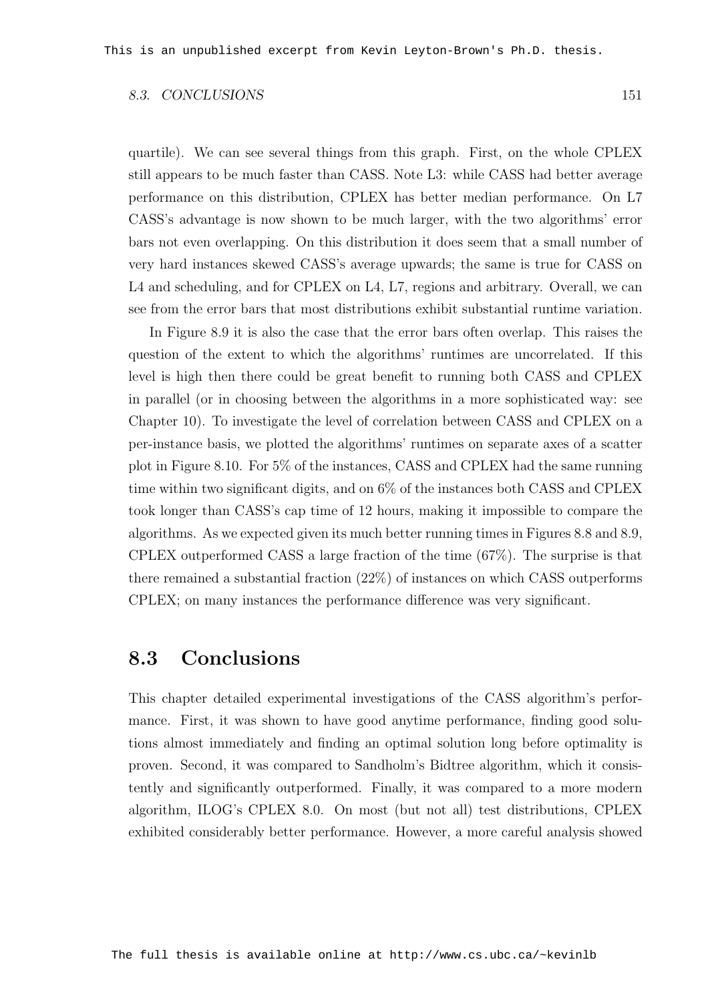#### 8.3. CONCLUSIONS 151

quartile). We can see several things from this graph. First, on the whole CPLEX still appears to be much faster than CASS. Note L3: while CASS had better average performance on this distribution, CPLEX has better median performance. On L7 CASS's advantage is now shown to be much larger, with the two algorithms' error bars not even overlapping. On this distribution it does seem that a small number of very hard instances skewed CASS's average upwards; the same is true for CASS on L4 and scheduling, and for CPLEX on L4, L7, regions and arbitrary. Overall, we can see from the error bars that most distributions exhibit substantial runtime variation.

In Figure 8.9 it is also the case that the error bars often overlap. This raises the question of the extent to which the algorithms' runtimes are uncorrelated. If this level is high then there could be great benefit to running both CASS and CPLEX in parallel (or in choosing between the algorithms in a more sophisticated way: see Chapter 10). To investigate the level of correlation between CASS and CPLEX on a per-instance basis, we plotted the algorithms' runtimes on separate axes of a scatter plot in Figure 8.10. For 5% of the instances, CASS and CPLEX had the same running time within two significant digits, and on 6% of the instances both CASS and CPLEX took longer than CASS's cap time of 12 hours, making it impossible to compare the algorithms. As we expected given its much better running times in Figures 8.8 and 8.9, CPLEX outperformed CASS a large fraction of the time (67%). The surprise is that there remained a substantial fraction (22%) of instances on which CASS outperforms CPLEX; on many instances the performance difference was very significant.

### 8.3 Conclusions

This chapter detailed experimental investigations of the CASS algorithm's performance. First, it was shown to have good anytime performance, finding good solutions almost immediately and finding an optimal solution long before optimality is proven. Second, it was compared to Sandholm's Bidtree algorithm, which it consistently and significantly outperformed. Finally, it was compared to a more modern algorithm, ILOG's CPLEX 8.0. On most (but not all) test distributions, CPLEX exhibited considerably better performance. However, a more careful analysis showed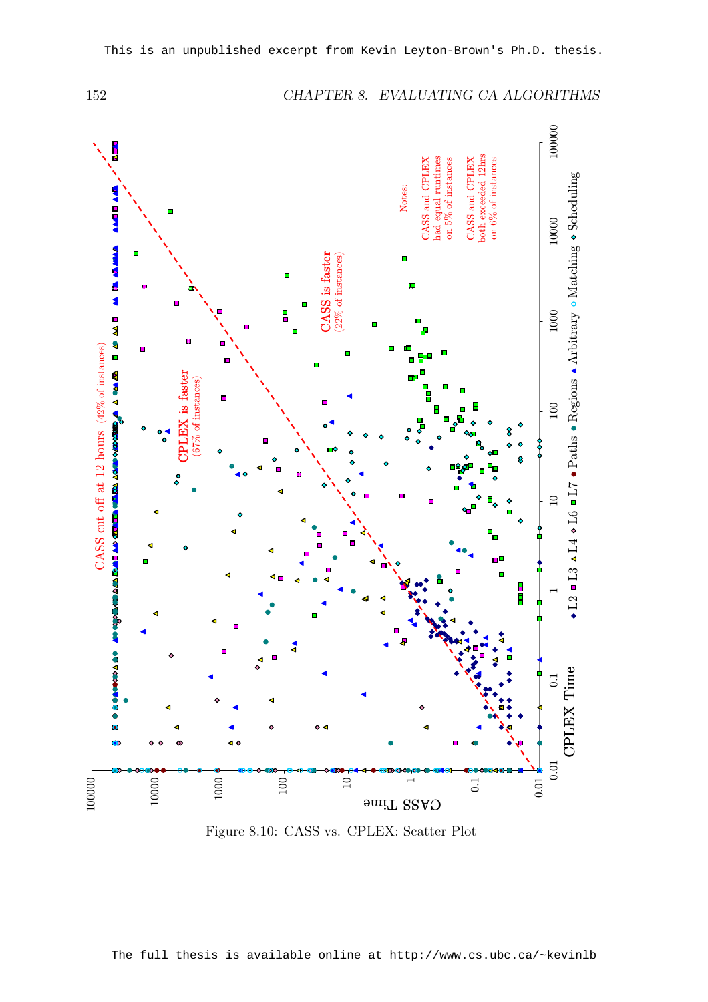

#### 152 CHAPTER 8. EVALUATING CA ALGORITHMS

Figure 8.10: CASS vs. CPLEX: Scatter Plot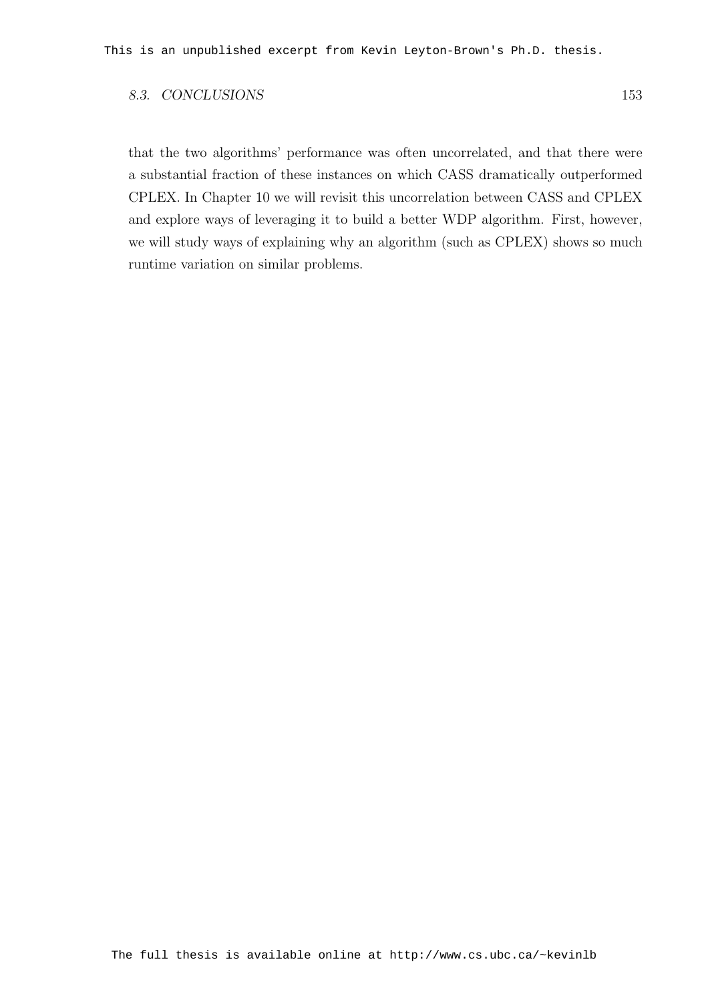#### 8.3. CONCLUSIONS 153

that the two algorithms' performance was often uncorrelated, and that there were a substantial fraction of these instances on which CASS dramatically outperformed CPLEX. In Chapter 10 we will revisit this uncorrelation between CASS and CPLEX and explore ways of leveraging it to build a better WDP algorithm. First, however, we will study ways of explaining why an algorithm (such as CPLEX) shows so much runtime variation on similar problems.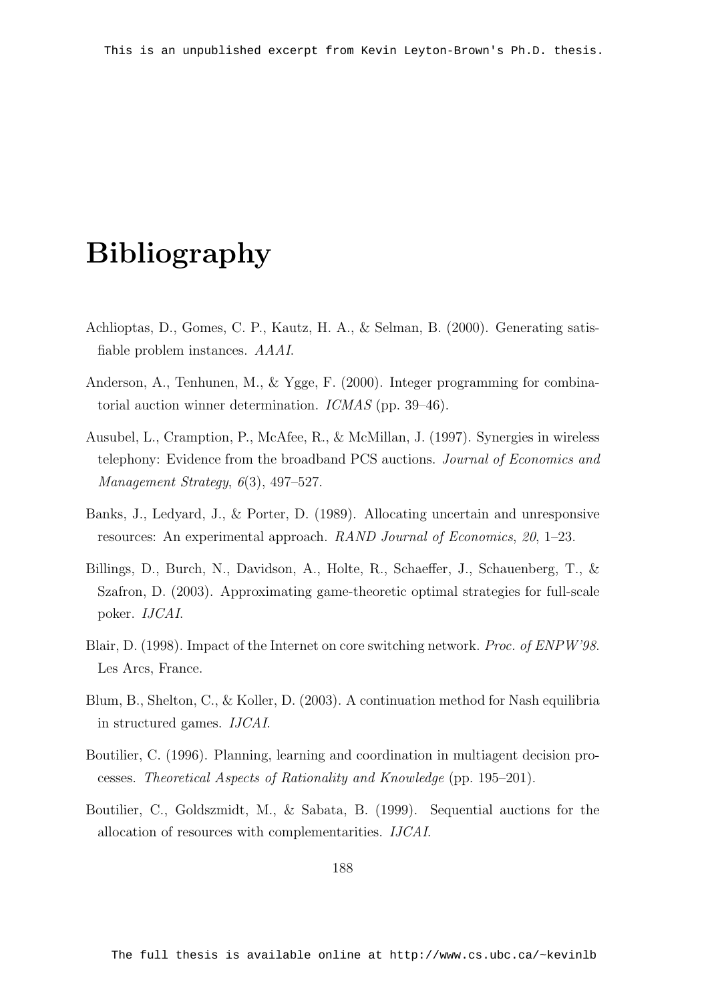## Bibliography

- Achlioptas, D., Gomes, C. P., Kautz, H. A., & Selman, B. (2000). Generating satisfiable problem instances. AAAI.
- Anderson, A., Tenhunen, M., & Ygge, F. (2000). Integer programming for combinatorial auction winner determination. ICMAS (pp. 39–46).
- Ausubel, L., Cramption, P., McAfee, R., & McMillan, J. (1997). Synergies in wireless telephony: Evidence from the broadband PCS auctions. Journal of Economics and Management Strategy, 6(3), 497–527.
- Banks, J., Ledyard, J., & Porter, D. (1989). Allocating uncertain and unresponsive resources: An experimental approach. RAND Journal of Economics, 20, 1–23.
- Billings, D., Burch, N., Davidson, A., Holte, R., Schaeffer, J., Schauenberg, T., & Szafron, D. (2003). Approximating game-theoretic optimal strategies for full-scale poker. IJCAI.
- Blair, D. (1998). Impact of the Internet on core switching network. Proc. of ENPW'98. Les Arcs, France.
- Blum, B., Shelton, C., & Koller, D. (2003). A continuation method for Nash equilibria in structured games. IJCAI.
- Boutilier, C. (1996). Planning, learning and coordination in multiagent decision processes. Theoretical Aspects of Rationality and Knowledge (pp. 195–201).
- Boutilier, C., Goldszmidt, M., & Sabata, B. (1999). Sequential auctions for the allocation of resources with complementarities. IJCAI.

188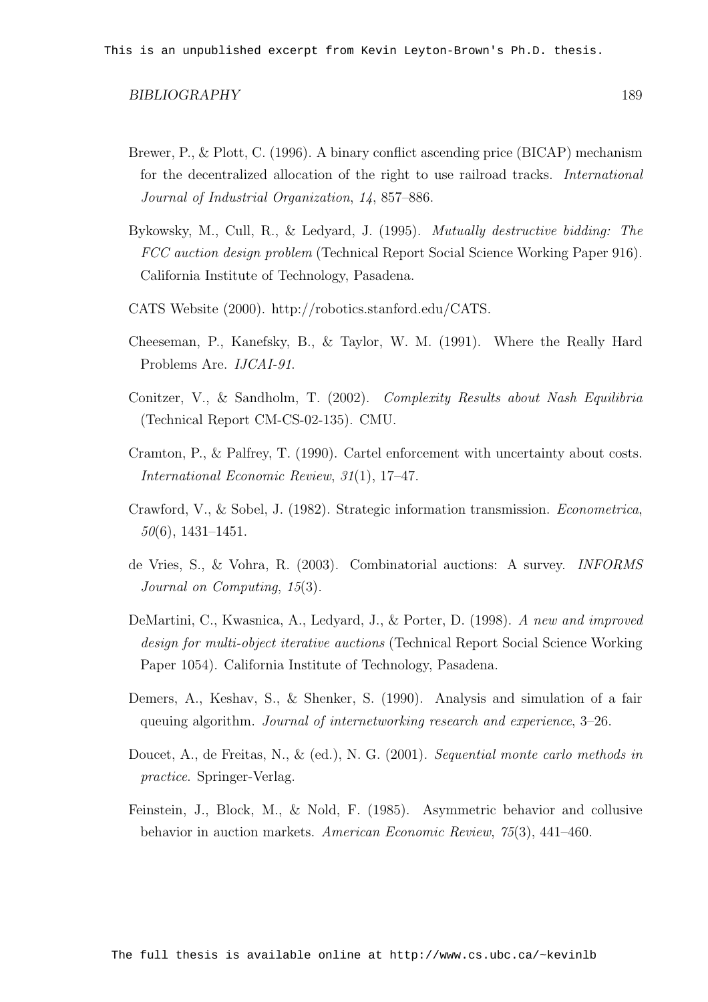- Brewer, P., & Plott, C. (1996). A binary conflict ascending price (BICAP) mechanism for the decentralized allocation of the right to use railroad tracks. International Journal of Industrial Organization, 14, 857–886.
- Bykowsky, M., Cull, R., & Ledyard, J. (1995). Mutually destructive bidding: The FCC auction design problem (Technical Report Social Science Working Paper 916). California Institute of Technology, Pasadena.
- CATS Website (2000). http://robotics.stanford.edu/CATS.
- Cheeseman, P., Kanefsky, B., & Taylor, W. M. (1991). Where the Really Hard Problems Are. IJCAI-91.
- Conitzer, V., & Sandholm, T. (2002). Complexity Results about Nash Equilibria (Technical Report CM-CS-02-135). CMU.
- Cramton, P., & Palfrey, T. (1990). Cartel enforcement with uncertainty about costs. International Economic Review, 31(1), 17–47.
- Crawford, V., & Sobel, J. (1982). Strategic information transmission. Econometrica, 50(6), 1431–1451.
- de Vries, S., & Vohra, R. (2003). Combinatorial auctions: A survey. INFORMS Journal on Computing, 15(3).
- DeMartini, C., Kwasnica, A., Ledyard, J., & Porter, D. (1998). A new and improved design for multi-object iterative auctions (Technical Report Social Science Working Paper 1054). California Institute of Technology, Pasadena.
- Demers, A., Keshav, S., & Shenker, S. (1990). Analysis and simulation of a fair queuing algorithm. Journal of internetworking research and experience, 3–26.
- Doucet, A., de Freitas, N., & (ed.), N. G. (2001). Sequential monte carlo methods in practice. Springer-Verlag.
- Feinstein, J., Block, M., & Nold, F. (1985). Asymmetric behavior and collusive behavior in auction markets. American Economic Review, 75(3), 441–460.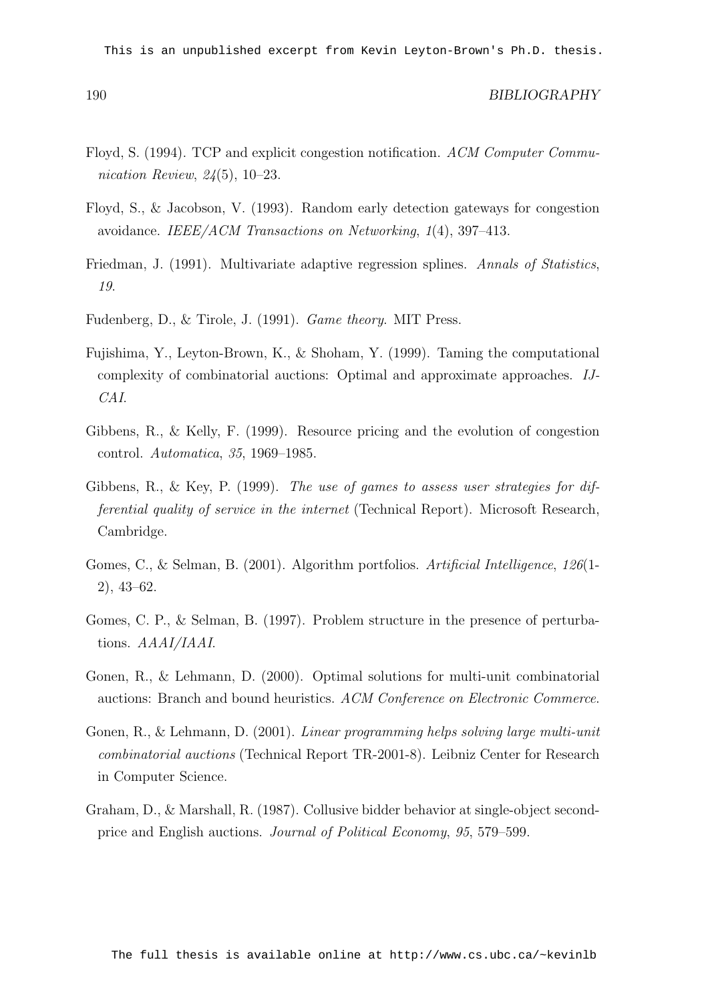This is an unpublished excerpt from Kevin Leyton-Brown's Ph.D. thesis.

- Floyd, S. (1994). TCP and explicit congestion notification. ACM Computer Communication Review, 24(5), 10–23.
- Floyd, S., & Jacobson, V. (1993). Random early detection gateways for congestion avoidance. IEEE/ACM Transactions on Networking, 1(4), 397–413.
- Friedman, J. (1991). Multivariate adaptive regression splines. Annals of Statistics, 19.
- Fudenberg, D., & Tirole, J. (1991). Game theory. MIT Press.
- Fujishima, Y., Leyton-Brown, K., & Shoham, Y. (1999). Taming the computational complexity of combinatorial auctions: Optimal and approximate approaches. IJ-CAI.
- Gibbens, R., & Kelly, F. (1999). Resource pricing and the evolution of congestion control. Automatica, 35, 1969–1985.
- Gibbens, R., & Key, P. (1999). The use of games to assess user strategies for differential quality of service in the internet (Technical Report). Microsoft Research, Cambridge.
- Gomes, C., & Selman, B. (2001). Algorithm portfolios. Artificial Intelligence, 126(1- 2), 43–62.
- Gomes, C. P., & Selman, B. (1997). Problem structure in the presence of perturbations. AAAI/IAAI.
- Gonen, R., & Lehmann, D. (2000). Optimal solutions for multi-unit combinatorial auctions: Branch and bound heuristics. ACM Conference on Electronic Commerce.
- Gonen, R., & Lehmann, D. (2001). Linear programming helps solving large multi-unit combinatorial auctions (Technical Report TR-2001-8). Leibniz Center for Research in Computer Science.
- Graham, D., & Marshall, R. (1987). Collusive bidder behavior at single-object secondprice and English auctions. Journal of Political Economy, 95, 579–599.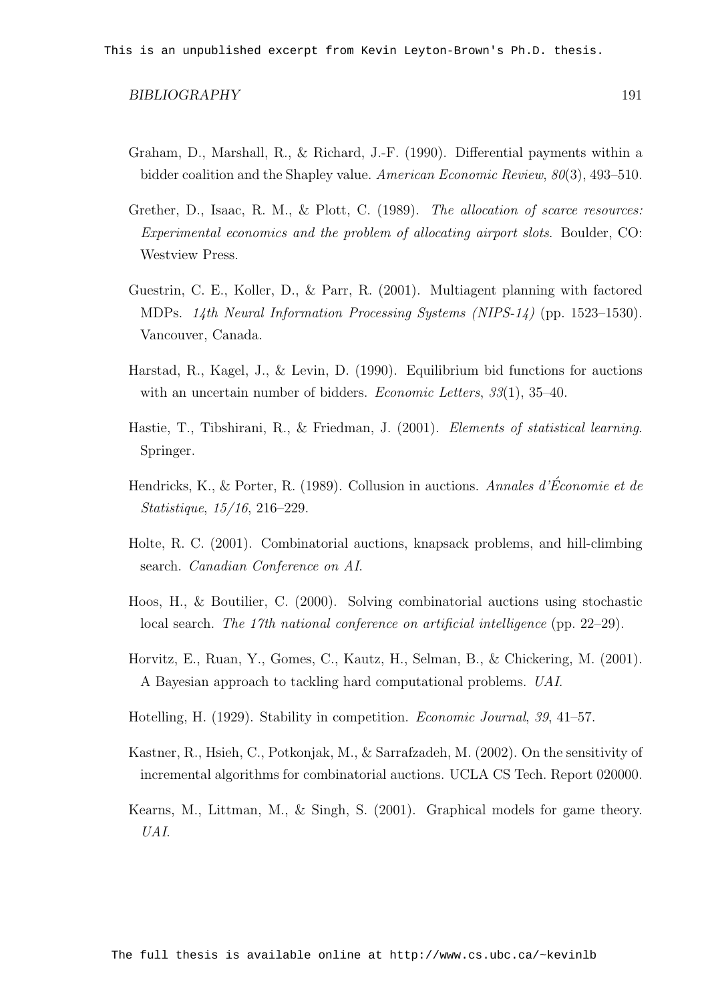- Graham, D., Marshall, R., & Richard, J.-F. (1990). Differential payments within a bidder coalition and the Shapley value. American Economic Review, 80(3), 493–510.
- Grether, D., Isaac, R. M., & Plott, C. (1989). The allocation of scarce resources: Experimental economics and the problem of allocating airport slots. Boulder, CO: Westview Press.
- Guestrin, C. E., Koller, D., & Parr, R. (2001). Multiagent planning with factored MDPs. 14th Neural Information Processing Systems (NIPS-14) (pp. 1523–1530). Vancouver, Canada.
- Harstad, R., Kagel, J., & Levin, D. (1990). Equilibrium bid functions for auctions with an uncertain number of bidders. *Economic Letters*,  $33(1)$ ,  $35-40$ .
- Hastie, T., Tibshirani, R., & Friedman, J. (2001). Elements of statistical learning. Springer.
- Hendricks, K., & Porter, R. (1989). Collusion in auctions. Annales d'Économie et de Statistique, 15/16, 216–229.
- Holte, R. C. (2001). Combinatorial auctions, knapsack problems, and hill-climbing search. Canadian Conference on AI.
- Hoos, H., & Boutilier, C. (2000). Solving combinatorial auctions using stochastic local search. The 17th national conference on artificial intelligence (pp. 22–29).
- Horvitz, E., Ruan, Y., Gomes, C., Kautz, H., Selman, B., & Chickering, M. (2001). A Bayesian approach to tackling hard computational problems. UAI.
- Hotelling, H. (1929). Stability in competition. Economic Journal, 39, 41–57.
- Kastner, R., Hsieh, C., Potkonjak, M., & Sarrafzadeh, M. (2002). On the sensitivity of incremental algorithms for combinatorial auctions. UCLA CS Tech. Report 020000.
- Kearns, M., Littman, M., & Singh, S. (2001). Graphical models for game theory. UAI.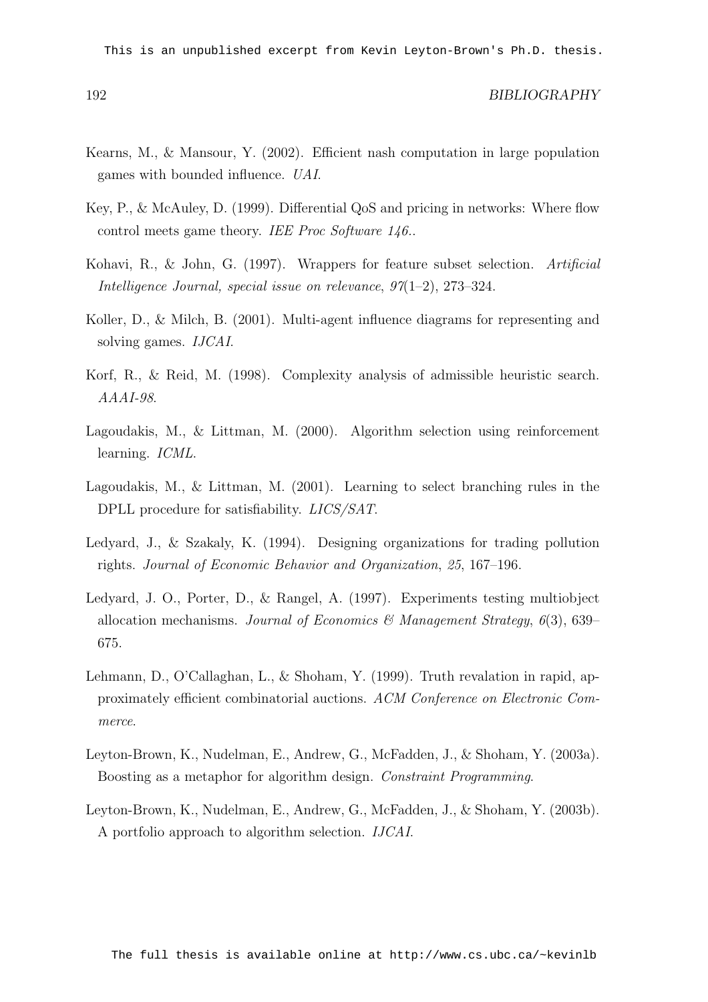This is an unpublished excerpt from Kevin Leyton-Brown's Ph.D. thesis.

- Kearns, M., & Mansour, Y. (2002). Efficient nash computation in large population games with bounded influence. UAI.
- Key, P., & McAuley, D. (1999). Differential QoS and pricing in networks: Where flow control meets game theory. IEE Proc Software 146..
- Kohavi, R., & John, G. (1997). Wrappers for feature subset selection. Artificial Intelligence Journal, special issue on relevance, 97(1–2), 273–324.
- Koller, D., & Milch, B. (2001). Multi-agent influence diagrams for representing and solving games. IJCAI.
- Korf, R., & Reid, M. (1998). Complexity analysis of admissible heuristic search. AAAI-98.
- Lagoudakis, M., & Littman, M. (2000). Algorithm selection using reinforcement learning. ICML.
- Lagoudakis, M., & Littman, M. (2001). Learning to select branching rules in the DPLL procedure for satisfiability. *LICS/SAT*.
- Ledyard, J., & Szakaly, K. (1994). Designing organizations for trading pollution rights. Journal of Economic Behavior and Organization, 25, 167–196.
- Ledyard, J. O., Porter, D., & Rangel, A. (1997). Experiments testing multiobject allocation mechanisms. Journal of Economics & Management Strategy,  $6(3)$ , 639– 675.
- Lehmann, D., O'Callaghan, L., & Shoham, Y. (1999). Truth revalation in rapid, approximately efficient combinatorial auctions. ACM Conference on Electronic Commerce.
- Leyton-Brown, K., Nudelman, E., Andrew, G., McFadden, J., & Shoham, Y. (2003a). Boosting as a metaphor for algorithm design. Constraint Programming.
- Leyton-Brown, K., Nudelman, E., Andrew, G., McFadden, J., & Shoham, Y. (2003b). A portfolio approach to algorithm selection. IJCAI.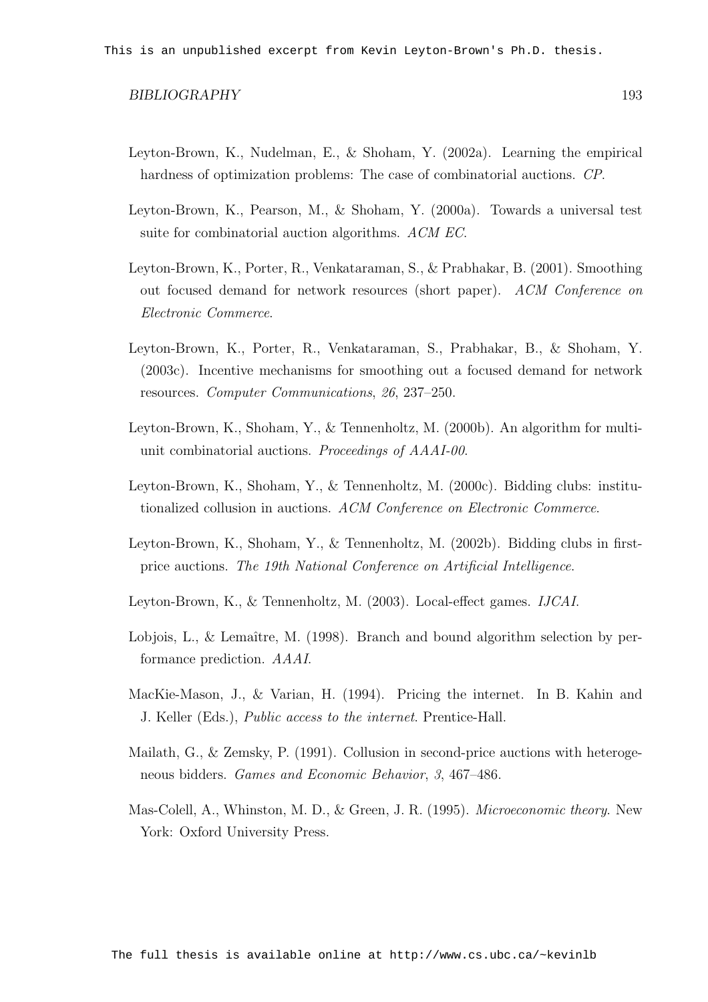- Leyton-Brown, K., Nudelman, E., & Shoham, Y. (2002a). Learning the empirical hardness of optimization problems: The case of combinatorial auctions. CP.
- Leyton-Brown, K., Pearson, M., & Shoham, Y. (2000a). Towards a universal test suite for combinatorial auction algorithms. ACM EC.
- Leyton-Brown, K., Porter, R., Venkataraman, S., & Prabhakar, B. (2001). Smoothing out focused demand for network resources (short paper). ACM Conference on Electronic Commerce.
- Leyton-Brown, K., Porter, R., Venkataraman, S., Prabhakar, B., & Shoham, Y. (2003c). Incentive mechanisms for smoothing out a focused demand for network resources. Computer Communications, 26, 237–250.
- Leyton-Brown, K., Shoham, Y., & Tennenholtz, M. (2000b). An algorithm for multiunit combinatorial auctions. Proceedings of AAAI-00.
- Leyton-Brown, K., Shoham, Y., & Tennenholtz, M. (2000c). Bidding clubs: institutionalized collusion in auctions. ACM Conference on Electronic Commerce.
- Leyton-Brown, K., Shoham, Y., & Tennenholtz, M. (2002b). Bidding clubs in firstprice auctions. The 19th National Conference on Artificial Intelligence.
- Leyton-Brown, K., & Tennenholtz, M. (2003). Local-effect games. IJCAI.
- Lobjois, L., & Lemaître, M. (1998). Branch and bound algorithm selection by performance prediction. AAAI.
- MacKie-Mason, J., & Varian, H. (1994). Pricing the internet. In B. Kahin and J. Keller (Eds.), Public access to the internet. Prentice-Hall.
- Mailath, G., & Zemsky, P. (1991). Collusion in second-price auctions with heterogeneous bidders. Games and Economic Behavior, 3, 467–486.
- Mas-Colell, A., Whinston, M. D., & Green, J. R. (1995). Microeconomic theory. New York: Oxford University Press.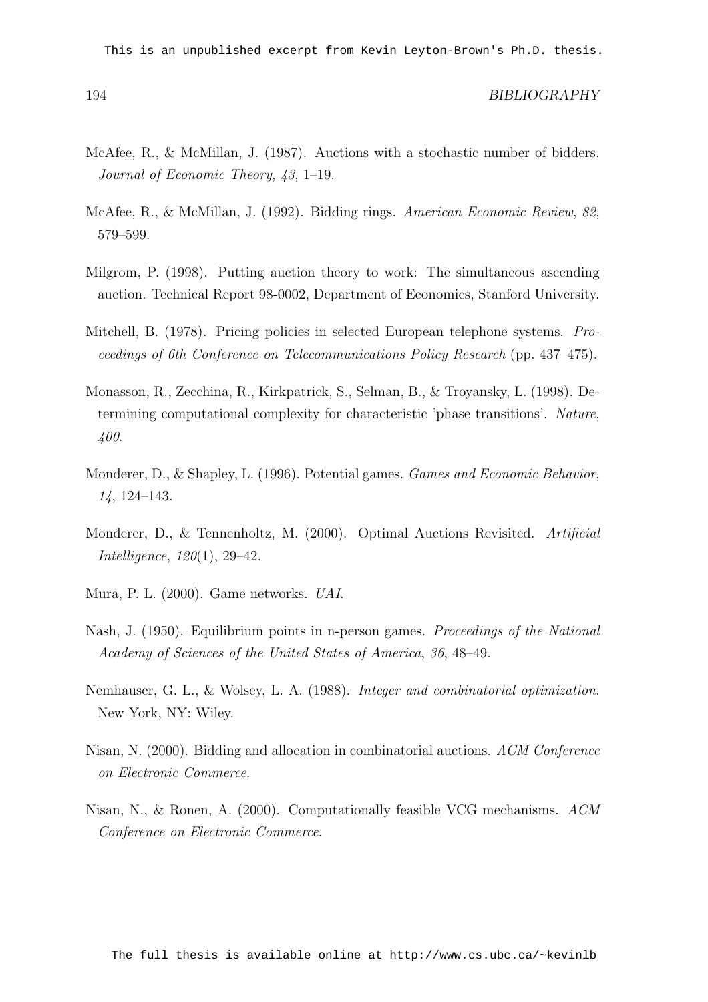This is an unpublished excerpt from Kevin Leyton-Brown's Ph.D. thesis.

- McAfee, R., & McMillan, J. (1987). Auctions with a stochastic number of bidders. Journal of Economic Theory, 43, 1–19.
- McAfee, R., & McMillan, J. (1992). Bidding rings. American Economic Review, 82, 579–599.
- Milgrom, P. (1998). Putting auction theory to work: The simultaneous ascending auction. Technical Report 98-0002, Department of Economics, Stanford University.
- Mitchell, B. (1978). Pricing policies in selected European telephone systems. Proceedings of 6th Conference on Telecommunications Policy Research (pp. 437–475).
- Monasson, R., Zecchina, R., Kirkpatrick, S., Selman, B., & Troyansky, L. (1998). Determining computational complexity for characteristic 'phase transitions'. Nature, 400.
- Monderer, D., & Shapley, L. (1996). Potential games. Games and Economic Behavior, 14, 124–143.
- Monderer, D., & Tennenholtz, M. (2000). Optimal Auctions Revisited. Artificial Intelligence, 120(1), 29–42.
- Mura, P. L. (2000). Game networks. UAI.
- Nash, J. (1950). Equilibrium points in n-person games. Proceedings of the National Academy of Sciences of the United States of America, 36, 48–49.
- Nemhauser, G. L., & Wolsey, L. A. (1988). Integer and combinatorial optimization. New York, NY: Wiley.
- Nisan, N. (2000). Bidding and allocation in combinatorial auctions. ACM Conference on Electronic Commerce.
- Nisan, N., & Ronen, A. (2000). Computationally feasible VCG mechanisms. ACM Conference on Electronic Commerce.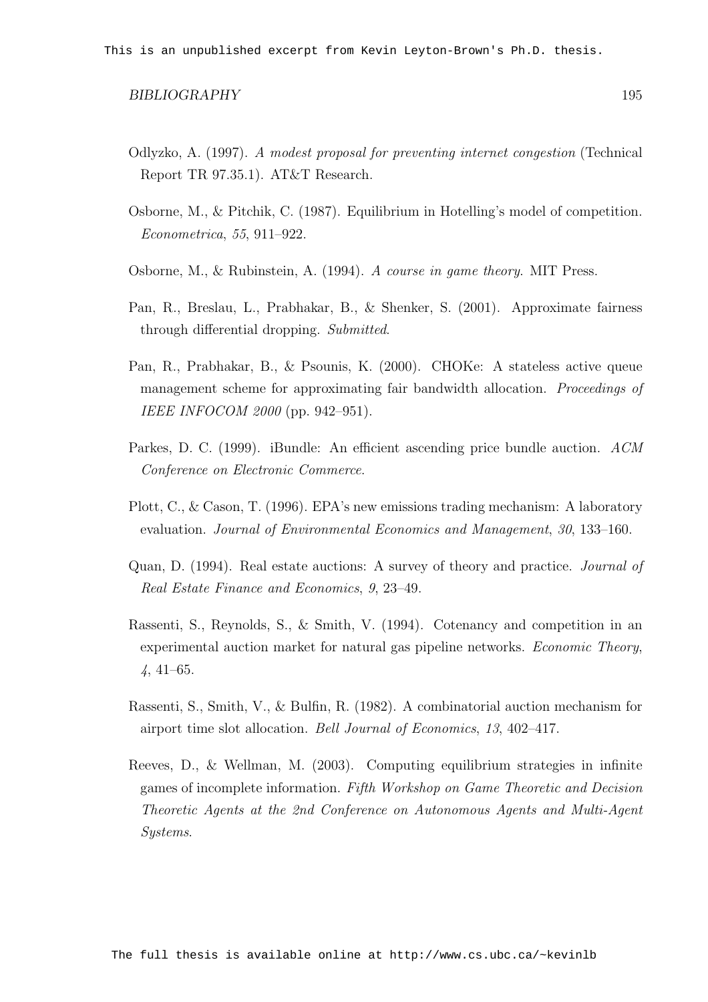- Odlyzko, A. (1997). A modest proposal for preventing internet congestion (Technical Report TR 97.35.1). AT&T Research.
- Osborne, M., & Pitchik, C. (1987). Equilibrium in Hotelling's model of competition. Econometrica, 55, 911–922.
- Osborne, M., & Rubinstein, A. (1994). A course in game theory. MIT Press.
- Pan, R., Breslau, L., Prabhakar, B., & Shenker, S. (2001). Approximate fairness through differential dropping. Submitted.
- Pan, R., Prabhakar, B., & Psounis, K. (2000). CHOKe: A stateless active queue management scheme for approximating fair bandwidth allocation. Proceedings of IEEE INFOCOM 2000 (pp. 942–951).
- Parkes, D. C. (1999). iBundle: An efficient ascending price bundle auction. ACM Conference on Electronic Commerce.
- Plott, C., & Cason, T. (1996). EPA's new emissions trading mechanism: A laboratory evaluation. Journal of Environmental Economics and Management, 30, 133–160.
- Quan, D. (1994). Real estate auctions: A survey of theory and practice. Journal of Real Estate Finance and Economics, 9, 23–49.
- Rassenti, S., Reynolds, S., & Smith, V. (1994). Cotenancy and competition in an experimental auction market for natural gas pipeline networks. Economic Theory, 4, 41–65.
- Rassenti, S., Smith, V., & Bulfin, R. (1982). A combinatorial auction mechanism for airport time slot allocation. Bell Journal of Economics, 13, 402–417.
- Reeves, D., & Wellman, M. (2003). Computing equilibrium strategies in infinite games of incomplete information. Fifth Workshop on Game Theoretic and Decision Theoretic Agents at the 2nd Conference on Autonomous Agents and Multi-Agent Systems.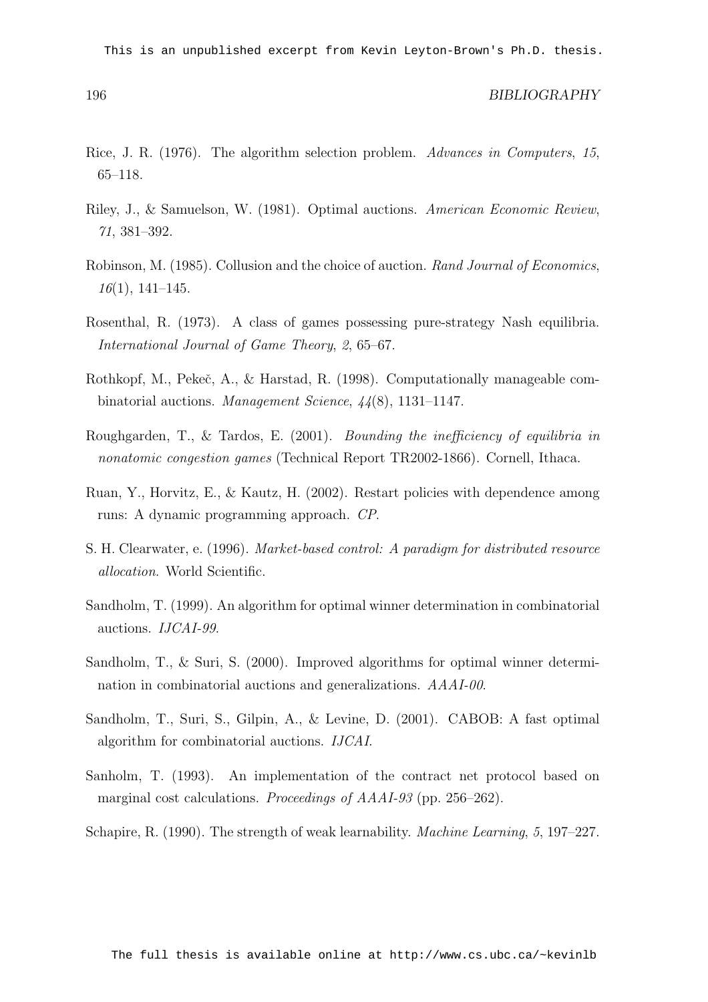This is an unpublished excerpt from Kevin Leyton-Brown's Ph.D. thesis.

- Rice, J. R. (1976). The algorithm selection problem. Advances in Computers, 15, 65–118.
- Riley, J., & Samuelson, W. (1981). Optimal auctions. American Economic Review, 71, 381–392.
- Robinson, M. (1985). Collusion and the choice of auction. Rand Journal of Economics,  $16(1)$ , 141–145.
- Rosenthal, R. (1973). A class of games possessing pure-strategy Nash equilibria. International Journal of Game Theory, 2, 65–67.
- Rothkopf, M., Pekeč, A., & Harstad, R. (1998). Computationally manageable combinatorial auctions. Management Science, 44(8), 1131–1147.
- Roughgarden, T., & Tardos, E. (2001). Bounding the inefficiency of equilibria in nonatomic congestion games (Technical Report TR2002-1866). Cornell, Ithaca.
- Ruan, Y., Horvitz, E., & Kautz, H. (2002). Restart policies with dependence among runs: A dynamic programming approach. CP.
- S. H. Clearwater, e. (1996). Market-based control: A paradigm for distributed resource allocation. World Scientific.
- Sandholm, T. (1999). An algorithm for optimal winner determination in combinatorial auctions. IJCAI-99.
- Sandholm, T., & Suri, S. (2000). Improved algorithms for optimal winner determination in combinatorial auctions and generalizations. AAAI-00.
- Sandholm, T., Suri, S., Gilpin, A., & Levine, D. (2001). CABOB: A fast optimal algorithm for combinatorial auctions. IJCAI.
- Sanholm, T. (1993). An implementation of the contract net protocol based on marginal cost calculations. *Proceedings of AAAI-93* (pp. 256–262).
- Schapire, R. (1990). The strength of weak learnability. Machine Learning, 5, 197–227.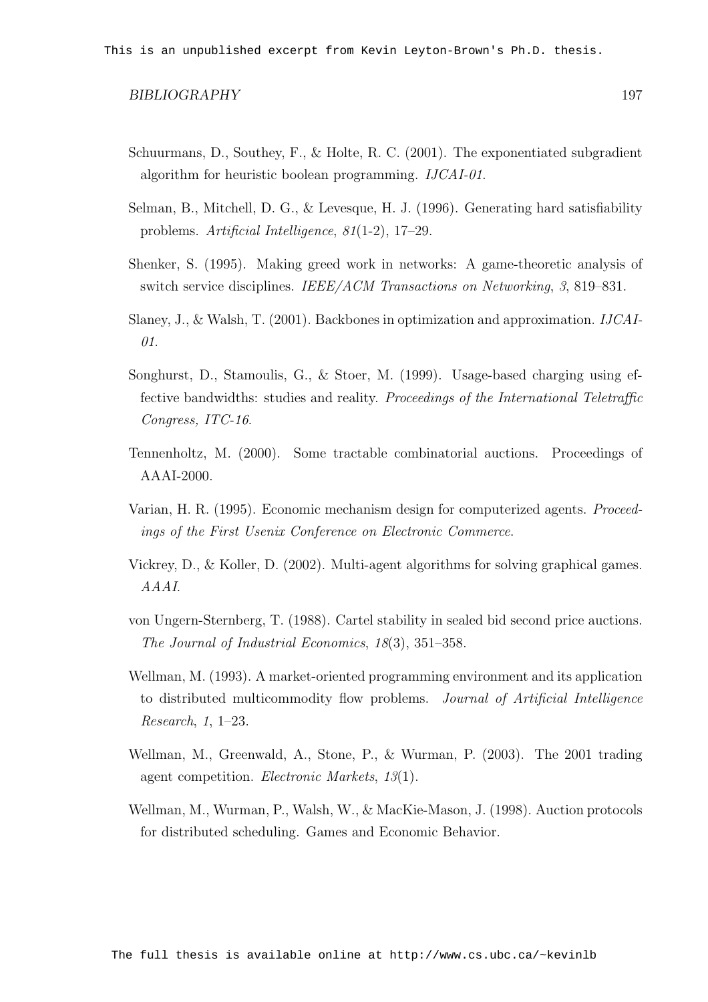- Schuurmans, D., Southey, F., & Holte, R. C. (2001). The exponentiated subgradient algorithm for heuristic boolean programming. IJCAI-01.
- Selman, B., Mitchell, D. G., & Levesque, H. J. (1996). Generating hard satisfiability problems. Artificial Intelligence, 81(1-2), 17–29.
- Shenker, S. (1995). Making greed work in networks: A game-theoretic analysis of switch service disciplines. IEEE/ACM Transactions on Networking, 3, 819–831.
- Slaney, J., & Walsh, T. (2001). Backbones in optimization and approximation. IJCAI-01.
- Songhurst, D., Stamoulis, G., & Stoer, M. (1999). Usage-based charging using effective bandwidths: studies and reality. Proceedings of the International Teletraffic Congress, ITC-16.
- Tennenholtz, M. (2000). Some tractable combinatorial auctions. Proceedings of AAAI-2000.
- Varian, H. R. (1995). Economic mechanism design for computerized agents. Proceedings of the First Usenix Conference on Electronic Commerce.
- Vickrey, D., & Koller, D. (2002). Multi-agent algorithms for solving graphical games. AAAI.
- von Ungern-Sternberg, T. (1988). Cartel stability in sealed bid second price auctions. The Journal of Industrial Economics, 18(3), 351–358.
- Wellman, M. (1993). A market-oriented programming environment and its application to distributed multicommodity flow problems. Journal of Artificial Intelligence Research, 1, 1–23.
- Wellman, M., Greenwald, A., Stone, P., & Wurman, P. (2003). The 2001 trading agent competition. Electronic Markets, 13(1).
- Wellman, M., Wurman, P., Walsh, W., & MacKie-Mason, J. (1998). Auction protocols for distributed scheduling. Games and Economic Behavior.